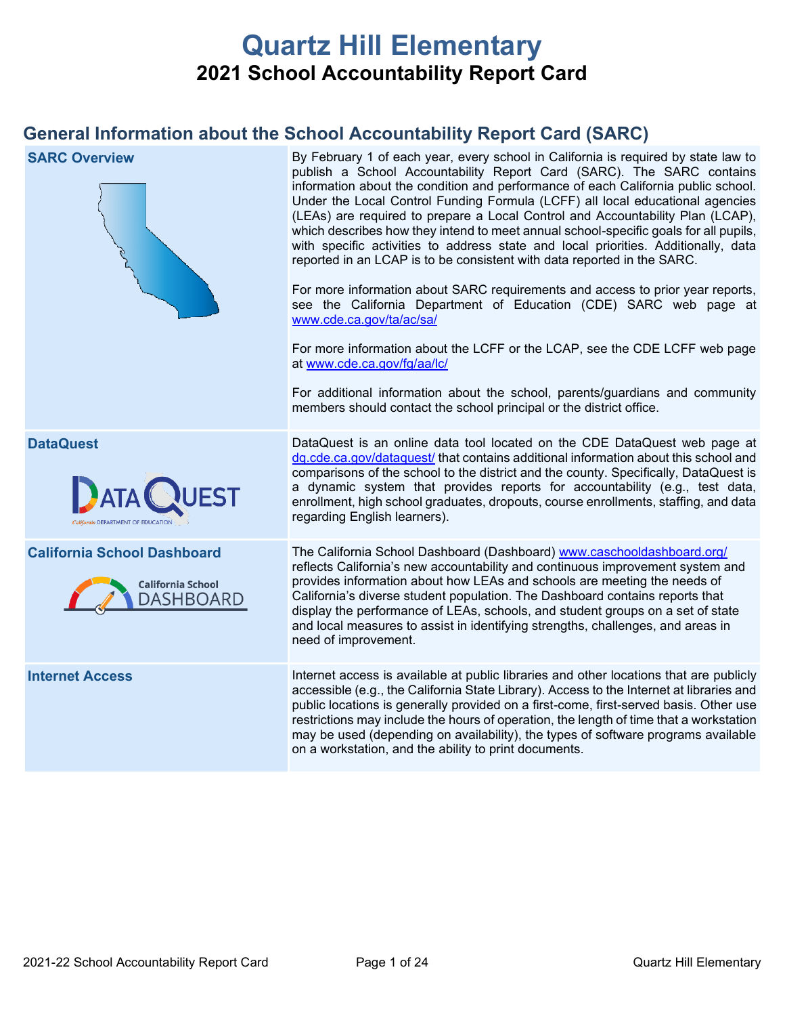# **Quartz Hill Elementary 2021 School Accountability Report Card**

## **General Information about the School Accountability Report Card (SARC)**

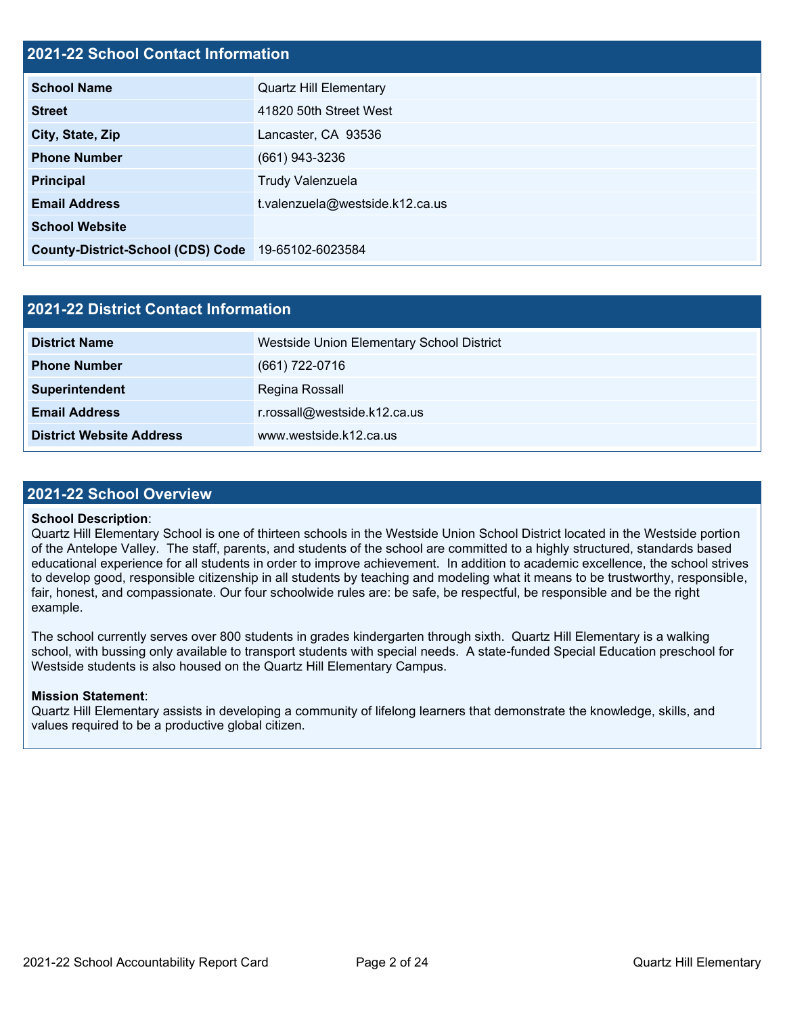## **2021-22 School Contact Information**

| <b>School Name</b>                                 | <b>Quartz Hill Elementary</b>   |  |  |  |  |
|----------------------------------------------------|---------------------------------|--|--|--|--|
| <b>Street</b>                                      | 41820 50th Street West          |  |  |  |  |
| City, State, Zip                                   | Lancaster, CA 93536             |  |  |  |  |
| <b>Phone Number</b>                                | (661) 943-3236                  |  |  |  |  |
| <b>Principal</b>                                   | Trudy Valenzuela                |  |  |  |  |
| <b>Email Address</b>                               | t.valenzuela@westside.k12.ca.us |  |  |  |  |
| <b>School Website</b>                              |                                 |  |  |  |  |
| County-District-School (CDS) Code 19-65102-6023584 |                                 |  |  |  |  |

| 2021-22 District Contact Information |                                           |  |  |  |  |
|--------------------------------------|-------------------------------------------|--|--|--|--|
| <b>District Name</b>                 | Westside Union Elementary School District |  |  |  |  |
| <b>Phone Number</b>                  | (661) 722-0716                            |  |  |  |  |
| Superintendent                       | Regina Rossall                            |  |  |  |  |
| <b>Email Address</b>                 | r.rossall@westside.k12.ca.us              |  |  |  |  |
| <b>District Website Address</b>      | www.westside.k12.ca.us                    |  |  |  |  |

### **2021-22 School Overview**

#### **School Description**:

Quartz Hill Elementary School is one of thirteen schools in the Westside Union School District located in the Westside portion of the Antelope Valley. The staff, parents, and students of the school are committed to a highly structured, standards based educational experience for all students in order to improve achievement. In addition to academic excellence, the school strives to develop good, responsible citizenship in all students by teaching and modeling what it means to be trustworthy, responsible, fair, honest, and compassionate. Our four schoolwide rules are: be safe, be respectful, be responsible and be the right example.

The school currently serves over 800 students in grades kindergarten through sixth. Quartz Hill Elementary is a walking school, with bussing only available to transport students with special needs. A state-funded Special Education preschool for Westside students is also housed on the Quartz Hill Elementary Campus.

### **Mission Statement**:

Quartz Hill Elementary assists in developing a community of lifelong learners that demonstrate the knowledge, skills, and values required to be a productive global citizen.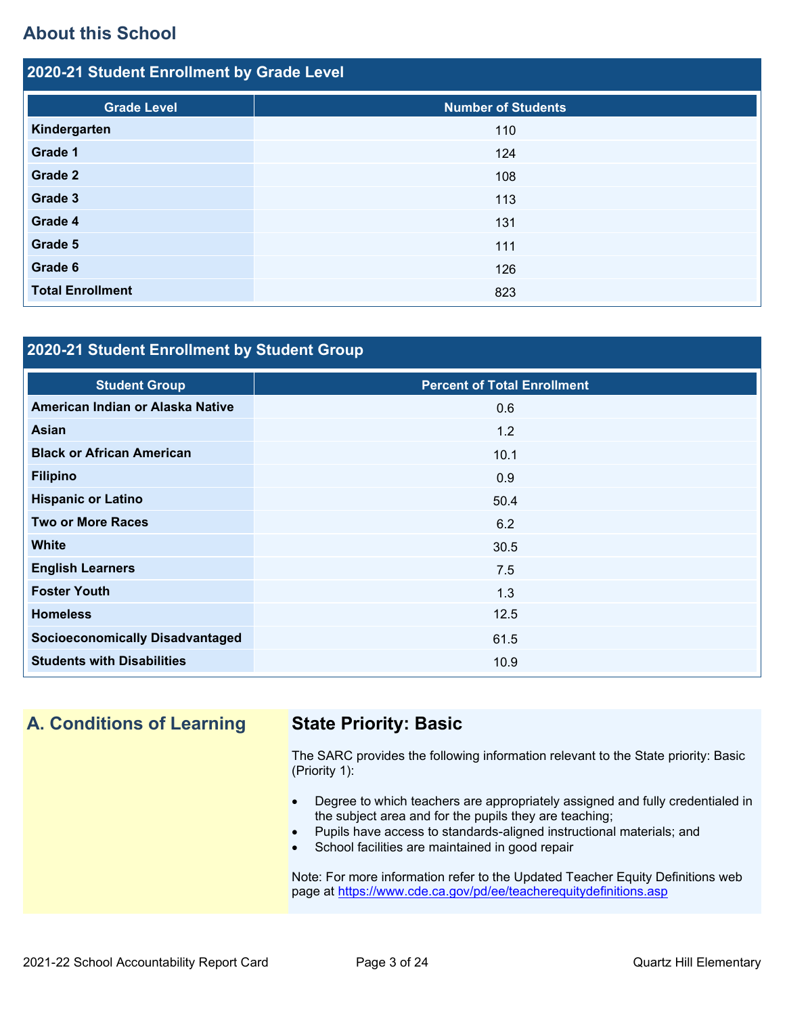## **About this School**

| 2020-21 Student Enrollment by Grade Level |                           |  |  |  |  |
|-------------------------------------------|---------------------------|--|--|--|--|
| <b>Grade Level</b>                        | <b>Number of Students</b> |  |  |  |  |
| Kindergarten                              | 110                       |  |  |  |  |
| Grade 1                                   | 124                       |  |  |  |  |
| Grade 2                                   | 108                       |  |  |  |  |
| Grade 3                                   | 113                       |  |  |  |  |
| Grade 4                                   | 131                       |  |  |  |  |
| Grade 5                                   | 111                       |  |  |  |  |
| Grade 6                                   | 126                       |  |  |  |  |
| <b>Total Enrollment</b>                   | 823                       |  |  |  |  |

## **2020-21 Student Enrollment by Student Group**

| <b>Student Group</b>                   | <b>Percent of Total Enrollment</b> |
|----------------------------------------|------------------------------------|
| American Indian or Alaska Native       | 0.6                                |
| Asian                                  | 1.2                                |
| <b>Black or African American</b>       | 10.1                               |
| <b>Filipino</b>                        | 0.9                                |
| <b>Hispanic or Latino</b>              | 50.4                               |
| <b>Two or More Races</b>               | 6.2                                |
| <b>White</b>                           | 30.5                               |
| <b>English Learners</b>                | 7.5                                |
| <b>Foster Youth</b>                    | 1.3                                |
| <b>Homeless</b>                        | 12.5                               |
| <b>Socioeconomically Disadvantaged</b> | 61.5                               |
| <b>Students with Disabilities</b>      | 10.9                               |

## **A. Conditions of Learning State Priority: Basic**

The SARC provides the following information relevant to the State priority: Basic (Priority 1):

- Degree to which teachers are appropriately assigned and fully credentialed in the subject area and for the pupils they are teaching;
- Pupils have access to standards-aligned instructional materials; and
- School facilities are maintained in good repair

Note: For more information refer to the Updated Teacher Equity Definitions web page at<https://www.cde.ca.gov/pd/ee/teacherequitydefinitions.asp>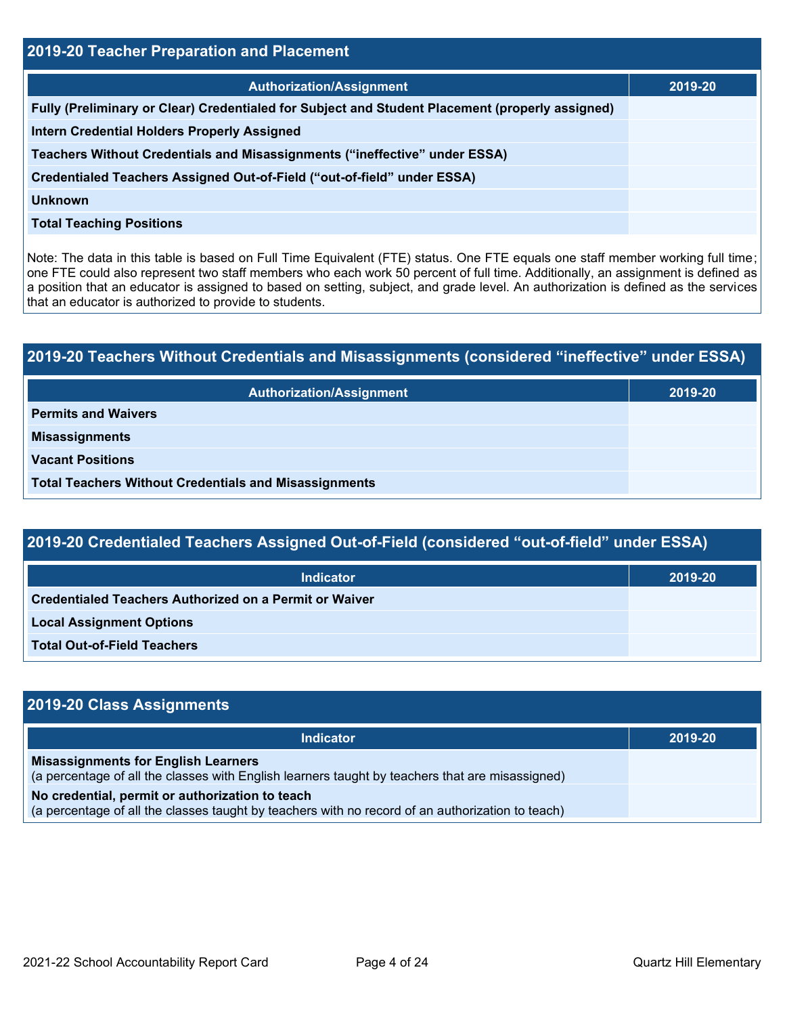| 2019-20 Teacher Preparation and Placement                                                       |         |  |  |  |
|-------------------------------------------------------------------------------------------------|---------|--|--|--|
| <b>Authorization/Assignment</b>                                                                 | 2019-20 |  |  |  |
| Fully (Preliminary or Clear) Credentialed for Subject and Student Placement (properly assigned) |         |  |  |  |
| <b>Intern Credential Holders Properly Assigned</b>                                              |         |  |  |  |
| Teachers Without Credentials and Misassignments ("ineffective" under ESSA)                      |         |  |  |  |
| Credentialed Teachers Assigned Out-of-Field ("out-of-field" under ESSA)                         |         |  |  |  |
| Unknown                                                                                         |         |  |  |  |
| <b>Total Teaching Positions</b>                                                                 |         |  |  |  |

Note: The data in this table is based on Full Time Equivalent (FTE) status. One FTE equals one staff member working full time; one FTE could also represent two staff members who each work 50 percent of full time. Additionally, an assignment is defined as a position that an educator is assigned to based on setting, subject, and grade level. An authorization is defined as the services that an educator is authorized to provide to students.

# **2019-20 Teachers Without Credentials and Misassignments (considered "ineffective" under ESSA) Authorization/Assignment 2019-20 Permits and Waivers Misassignments Vacant Positions Total Teachers Without Credentials and Misassignments**

| 2019-20 Credentialed Teachers Assigned Out-of-Field (considered "out-of-field" under ESSA) |         |  |  |  |
|--------------------------------------------------------------------------------------------|---------|--|--|--|
| <b>Indicator</b>                                                                           | 2019-20 |  |  |  |
| Credentialed Teachers Authorized on a Permit or Waiver                                     |         |  |  |  |
| <b>Local Assignment Options</b>                                                            |         |  |  |  |
| <b>Total Out-of-Field Teachers</b>                                                         |         |  |  |  |

| 2019-20 Class Assignments                                                                                                                           |         |
|-----------------------------------------------------------------------------------------------------------------------------------------------------|---------|
| <b>Indicator</b>                                                                                                                                    | 2019-20 |
| <b>Misassignments for English Learners</b><br>(a percentage of all the classes with English learners taught by teachers that are misassigned)       |         |
| No credential, permit or authorization to teach<br>(a percentage of all the classes taught by teachers with no record of an authorization to teach) |         |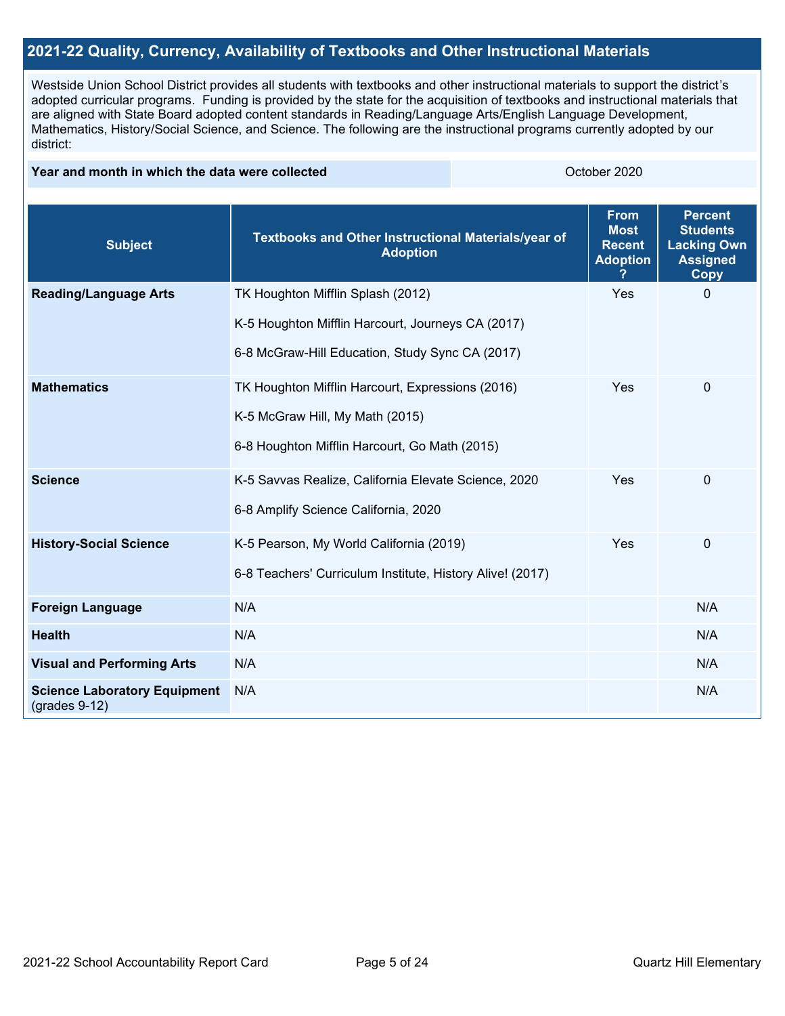## **2021-22 Quality, Currency, Availability of Textbooks and Other Instructional Materials**

Westside Union School District provides all students with textbooks and other instructional materials to support the district's adopted curricular programs. Funding is provided by the state for the acquisition of textbooks and instructional materials that are aligned with State Board adopted content standards in Reading/Language Arts/English Language Development, Mathematics, History/Social Science, and Science. The following are the instructional programs currently adopted by our district:

### **Year and month in which the data were collected Collection Collection Collection Collection** October 2020

| <b>Subject</b>                                         | Textbooks and Other Instructional Materials/year of<br><b>Adoption</b> | <b>From</b><br><b>Most</b><br><b>Recent</b><br><b>Adoption</b> | <b>Percent</b><br><b>Students</b><br><b>Lacking Own</b><br><b>Assigned</b><br><b>Copy</b> |
|--------------------------------------------------------|------------------------------------------------------------------------|----------------------------------------------------------------|-------------------------------------------------------------------------------------------|
| <b>Reading/Language Arts</b>                           | TK Houghton Mifflin Splash (2012)                                      | Yes                                                            | $\Omega$                                                                                  |
|                                                        | K-5 Houghton Mifflin Harcourt, Journeys CA (2017)                      |                                                                |                                                                                           |
|                                                        | 6-8 McGraw-Hill Education, Study Sync CA (2017)                        |                                                                |                                                                                           |
| <b>Mathematics</b>                                     | TK Houghton Mifflin Harcourt, Expressions (2016)                       | Yes                                                            | $\mathbf 0$                                                                               |
|                                                        | K-5 McGraw Hill, My Math (2015)                                        |                                                                |                                                                                           |
|                                                        | 6-8 Houghton Mifflin Harcourt, Go Math (2015)                          |                                                                |                                                                                           |
| <b>Science</b>                                         | K-5 Savvas Realize, California Elevate Science, 2020                   | Yes                                                            | $\mathbf 0$                                                                               |
|                                                        | 6-8 Amplify Science California, 2020                                   |                                                                |                                                                                           |
| <b>History-Social Science</b>                          | K-5 Pearson, My World California (2019)                                | Yes                                                            | 0                                                                                         |
|                                                        | 6-8 Teachers' Curriculum Institute, History Alive! (2017)              |                                                                |                                                                                           |
| <b>Foreign Language</b>                                | N/A                                                                    |                                                                | N/A                                                                                       |
| <b>Health</b>                                          | N/A                                                                    |                                                                | N/A                                                                                       |
| <b>Visual and Performing Arts</b>                      | N/A                                                                    |                                                                | N/A                                                                                       |
| <b>Science Laboratory Equipment</b><br>$(grades 9-12)$ | N/A                                                                    |                                                                | N/A                                                                                       |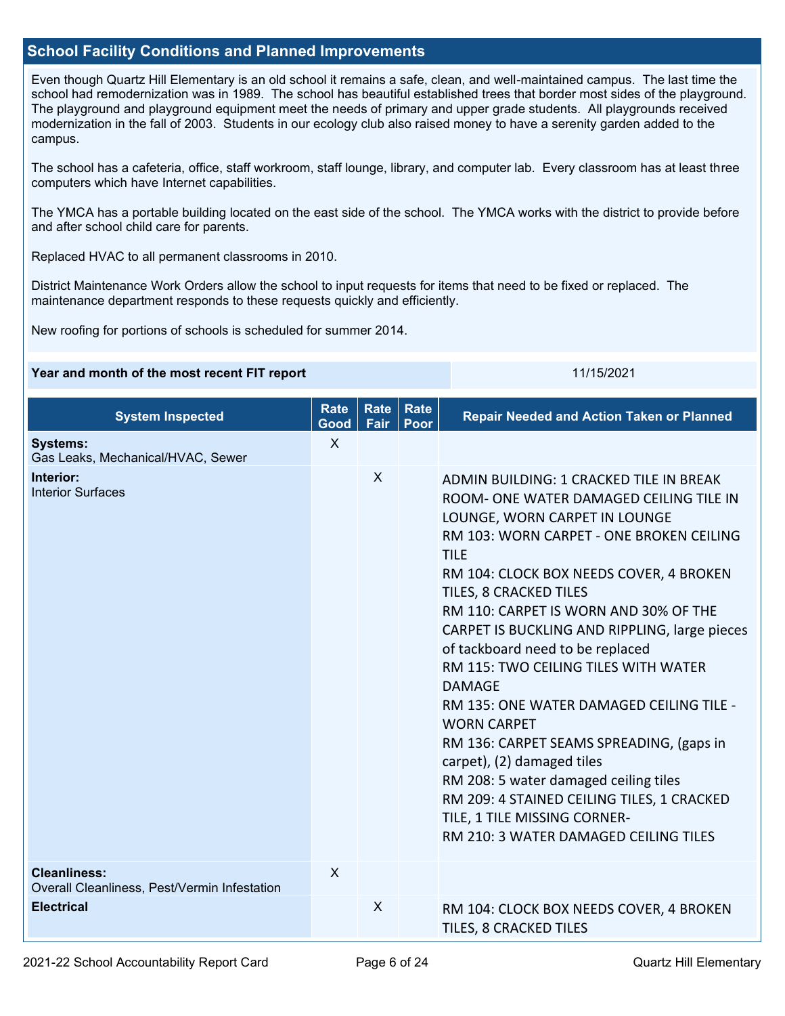## **School Facility Conditions and Planned Improvements**

Even though Quartz Hill Elementary is an old school it remains a safe, clean, and well-maintained campus. The last time the school had remodernization was in 1989. The school has beautiful established trees that border most sides of the playground. The playground and playground equipment meet the needs of primary and upper grade students. All playgrounds received modernization in the fall of 2003. Students in our ecology club also raised money to have a serenity garden added to the campus.

The school has a cafeteria, office, staff workroom, staff lounge, library, and computer lab. Every classroom has at least three computers which have Internet capabilities.

The YMCA has a portable building located on the east side of the school. The YMCA works with the district to provide before and after school child care for parents.

Replaced HVAC to all permanent classrooms in 2010.

District Maintenance Work Orders allow the school to input requests for items that need to be fixed or replaced. The maintenance department responds to these requests quickly and efficiently.

New roofing for portions of schools is scheduled for summer 2014.

#### **Year and month of the most recent FIT report** 11/15/2021 11/15/2021

| <b>System Inspected</b>                                             | <b>Rate</b><br>Good | <b>Rate</b><br>Fair | <b>Rate</b><br>Poor | <b>Repair Needed and Action Taken or Planned</b>                                                                                                                                                                                                                                                                                                                                                                                                                                                                                                                                                                                                                                                                                                       |
|---------------------------------------------------------------------|---------------------|---------------------|---------------------|--------------------------------------------------------------------------------------------------------------------------------------------------------------------------------------------------------------------------------------------------------------------------------------------------------------------------------------------------------------------------------------------------------------------------------------------------------------------------------------------------------------------------------------------------------------------------------------------------------------------------------------------------------------------------------------------------------------------------------------------------------|
| <b>Systems:</b><br>Gas Leaks, Mechanical/HVAC, Sewer                | $\sf X$             |                     |                     |                                                                                                                                                                                                                                                                                                                                                                                                                                                                                                                                                                                                                                                                                                                                                        |
| Interior:<br><b>Interior Surfaces</b>                               |                     | X                   |                     | ADMIN BUILDING: 1 CRACKED TILE IN BREAK<br>ROOM- ONE WATER DAMAGED CEILING TILE IN<br>LOUNGE, WORN CARPET IN LOUNGE<br>RM 103: WORN CARPET - ONE BROKEN CEILING<br><b>TILE</b><br>RM 104: CLOCK BOX NEEDS COVER, 4 BROKEN<br>TILES, 8 CRACKED TILES<br>RM 110: CARPET IS WORN AND 30% OF THE<br>CARPET IS BUCKLING AND RIPPLING, large pieces<br>of tackboard need to be replaced<br>RM 115: TWO CEILING TILES WITH WATER<br><b>DAMAGE</b><br>RM 135: ONE WATER DAMAGED CEILING TILE -<br><b>WORN CARPET</b><br>RM 136: CARPET SEAMS SPREADING, (gaps in<br>carpet), (2) damaged tiles<br>RM 208: 5 water damaged ceiling tiles<br>RM 209: 4 STAINED CEILING TILES, 1 CRACKED<br>TILE, 1 TILE MISSING CORNER-<br>RM 210: 3 WATER DAMAGED CEILING TILES |
| <b>Cleanliness:</b><br>Overall Cleanliness, Pest/Vermin Infestation | $\sf X$             |                     |                     |                                                                                                                                                                                                                                                                                                                                                                                                                                                                                                                                                                                                                                                                                                                                                        |
| <b>Electrical</b>                                                   |                     | X                   |                     | RM 104: CLOCK BOX NEEDS COVER, 4 BROKEN<br>TILES, 8 CRACKED TILES                                                                                                                                                                                                                                                                                                                                                                                                                                                                                                                                                                                                                                                                                      |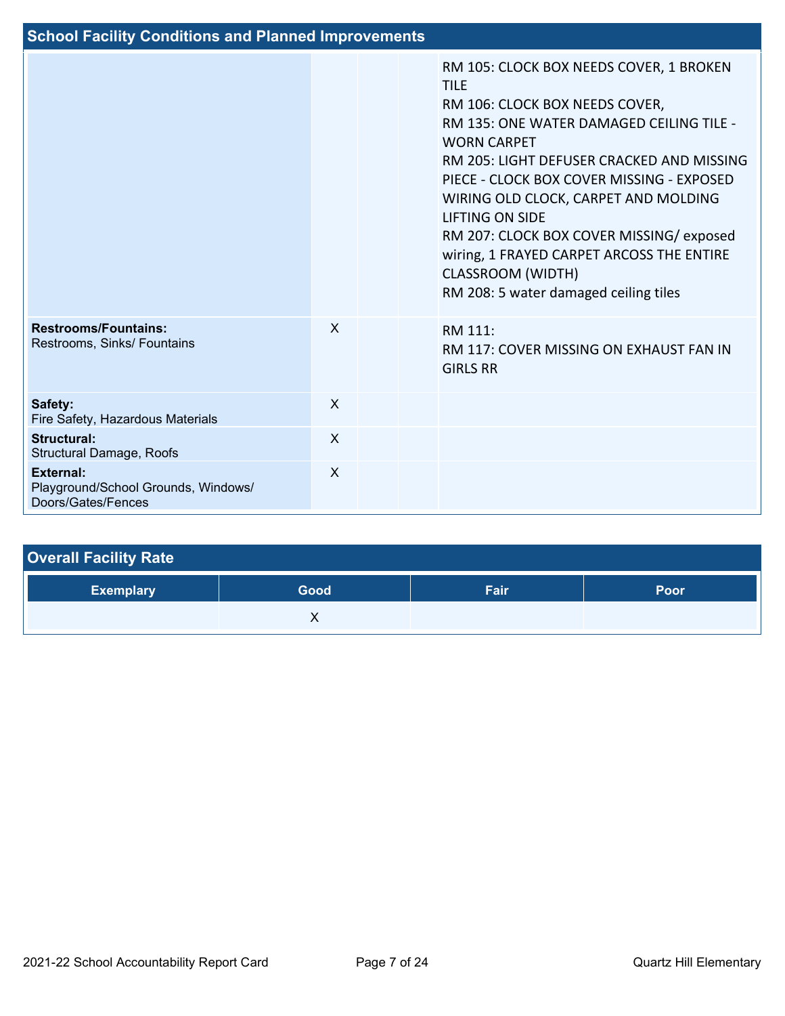| <b>School Facility Conditions and Planned Improvements</b>                    |         |  |  |                                                                                                                                                                                                                                                                                                                                                                                                                                                                                     |  |
|-------------------------------------------------------------------------------|---------|--|--|-------------------------------------------------------------------------------------------------------------------------------------------------------------------------------------------------------------------------------------------------------------------------------------------------------------------------------------------------------------------------------------------------------------------------------------------------------------------------------------|--|
|                                                                               |         |  |  | RM 105: CLOCK BOX NEEDS COVER, 1 BROKEN<br><b>TILE</b><br>RM 106: CLOCK BOX NEEDS COVER,<br>RM 135: ONE WATER DAMAGED CEILING TILE -<br><b>WORN CARPET</b><br>RM 205: LIGHT DEFUSER CRACKED AND MISSING<br>PIECE - CLOCK BOX COVER MISSING - EXPOSED<br>WIRING OLD CLOCK, CARPET AND MOLDING<br><b>LIFTING ON SIDE</b><br>RM 207: CLOCK BOX COVER MISSING/exposed<br>wiring, 1 FRAYED CARPET ARCOSS THE ENTIRE<br><b>CLASSROOM (WIDTH)</b><br>RM 208: 5 water damaged ceiling tiles |  |
| <b>Restrooms/Fountains:</b><br>Restrooms, Sinks/ Fountains                    | $\sf X$ |  |  | RM 111:<br>RM 117: COVER MISSING ON EXHAUST FAN IN<br><b>GIRLS RR</b>                                                                                                                                                                                                                                                                                                                                                                                                               |  |
| Safety:<br>Fire Safety, Hazardous Materials                                   | X       |  |  |                                                                                                                                                                                                                                                                                                                                                                                                                                                                                     |  |
| <b>Structural:</b><br>Structural Damage, Roofs                                | $\sf X$ |  |  |                                                                                                                                                                                                                                                                                                                                                                                                                                                                                     |  |
| <b>External:</b><br>Playground/School Grounds, Windows/<br>Doors/Gates/Fences | X       |  |  |                                                                                                                                                                                                                                                                                                                                                                                                                                                                                     |  |

| <b>Overall Facility Rate</b> |      |      |      |  |  |  |
|------------------------------|------|------|------|--|--|--|
| <b>Exemplary</b>             | Good | Fair | Poor |  |  |  |
|                              |      |      |      |  |  |  |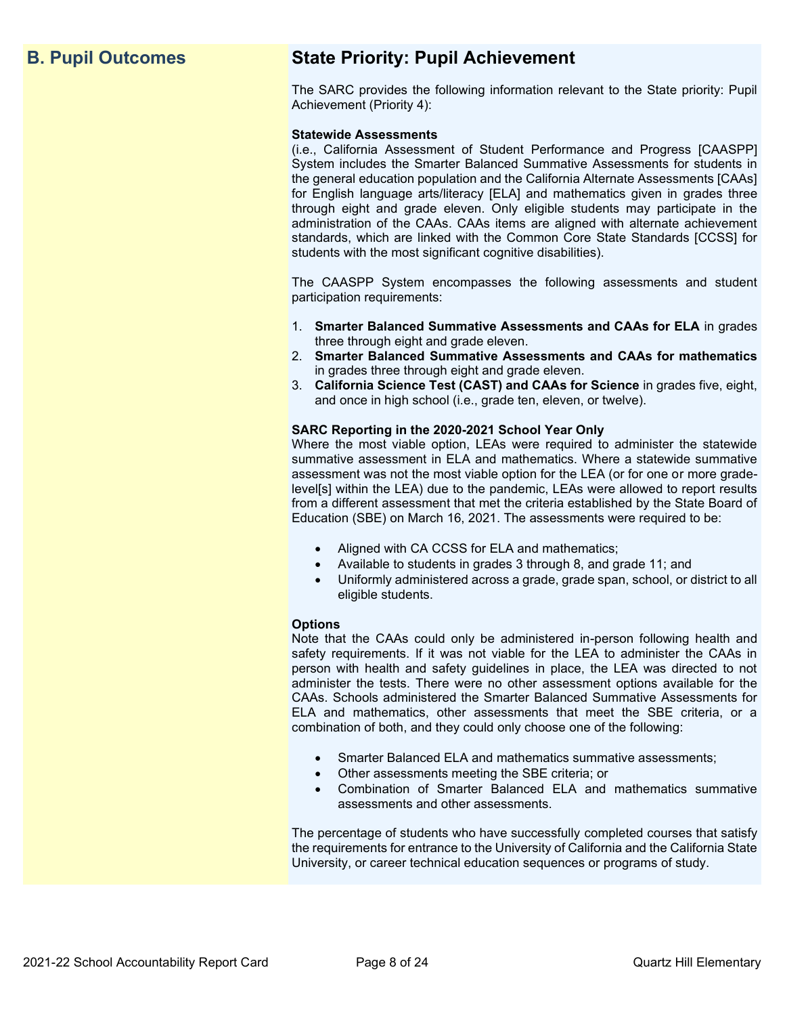## **B. Pupil Outcomes State Priority: Pupil Achievement**

The SARC provides the following information relevant to the State priority: Pupil Achievement (Priority 4):

#### **Statewide Assessments**

(i.e., California Assessment of Student Performance and Progress [CAASPP] System includes the Smarter Balanced Summative Assessments for students in the general education population and the California Alternate Assessments [CAAs] for English language arts/literacy [ELA] and mathematics given in grades three through eight and grade eleven. Only eligible students may participate in the administration of the CAAs. CAAs items are aligned with alternate achievement standards, which are linked with the Common Core State Standards [CCSS] for students with the most significant cognitive disabilities).

The CAASPP System encompasses the following assessments and student participation requirements:

- 1. **Smarter Balanced Summative Assessments and CAAs for ELA** in grades three through eight and grade eleven.
- 2. **Smarter Balanced Summative Assessments and CAAs for mathematics** in grades three through eight and grade eleven.
- 3. **California Science Test (CAST) and CAAs for Science** in grades five, eight, and once in high school (i.e., grade ten, eleven, or twelve).

#### **SARC Reporting in the 2020-2021 School Year Only**

Where the most viable option, LEAs were required to administer the statewide summative assessment in ELA and mathematics. Where a statewide summative assessment was not the most viable option for the LEA (or for one or more gradelevel[s] within the LEA) due to the pandemic, LEAs were allowed to report results from a different assessment that met the criteria established by the State Board of Education (SBE) on March 16, 2021. The assessments were required to be:

- Aligned with CA CCSS for ELA and mathematics;
- Available to students in grades 3 through 8, and grade 11; and
- Uniformly administered across a grade, grade span, school, or district to all eligible students.

#### **Options**

Note that the CAAs could only be administered in-person following health and safety requirements. If it was not viable for the LEA to administer the CAAs in person with health and safety guidelines in place, the LEA was directed to not administer the tests. There were no other assessment options available for the CAAs. Schools administered the Smarter Balanced Summative Assessments for ELA and mathematics, other assessments that meet the SBE criteria, or a combination of both, and they could only choose one of the following:

- Smarter Balanced ELA and mathematics summative assessments;
- Other assessments meeting the SBE criteria; or
- Combination of Smarter Balanced ELA and mathematics summative assessments and other assessments.

The percentage of students who have successfully completed courses that satisfy the requirements for entrance to the University of California and the California State University, or career technical education sequences or programs of study.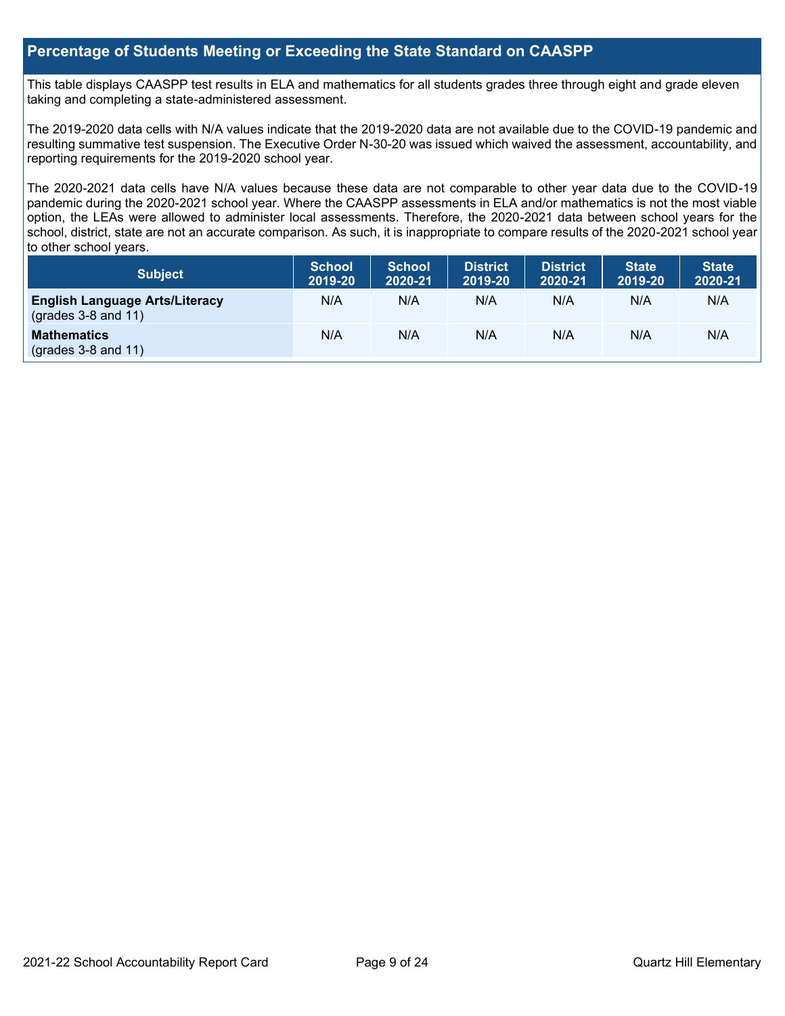## **Percentage of Students Meeting or Exceeding the State Standard on CAASPP**

This table displays CAASPP test results in ELA and mathematics for all students grades three through eight and grade eleven taking and completing a state-administered assessment.

The 2019-2020 data cells with N/A values indicate that the 2019-2020 data are not available due to the COVID-19 pandemic and resulting summative test suspension. The Executive Order N-30-20 was issued which waived the assessment, accountability, and reporting requirements for the 2019-2020 school year.

The 2020-2021 data cells have N/A values because these data are not comparable to other year data due to the COVID-19 pandemic during the 2020-2021 school year. Where the CAASPP assessments in ELA and/or mathematics is not the most viable option, the LEAs were allowed to administer local assessments. Therefore, the 2020-2021 data between school years for the school, district, state are not an accurate comparison. As such, it is inappropriate to compare results of the 2020-2021 school year to other school years.

| Subject                                                        | <b>School</b><br>2019-20 | <b>School</b><br>2020-21 | <b>District</b><br>2019-20 | <b>District</b><br>2020-21 | <b>State</b><br>2019-20 | <b>State</b><br>2020-21 |
|----------------------------------------------------------------|--------------------------|--------------------------|----------------------------|----------------------------|-------------------------|-------------------------|
| <b>English Language Arts/Literacy</b><br>$(grades 3-8 and 11)$ | N/A                      | N/A                      | N/A                        | N/A                        | N/A                     | N/A                     |
| <b>Mathematics</b><br>$(grades 3-8 and 11)$                    | N/A                      | N/A                      | N/A                        | N/A                        | N/A                     | N/A                     |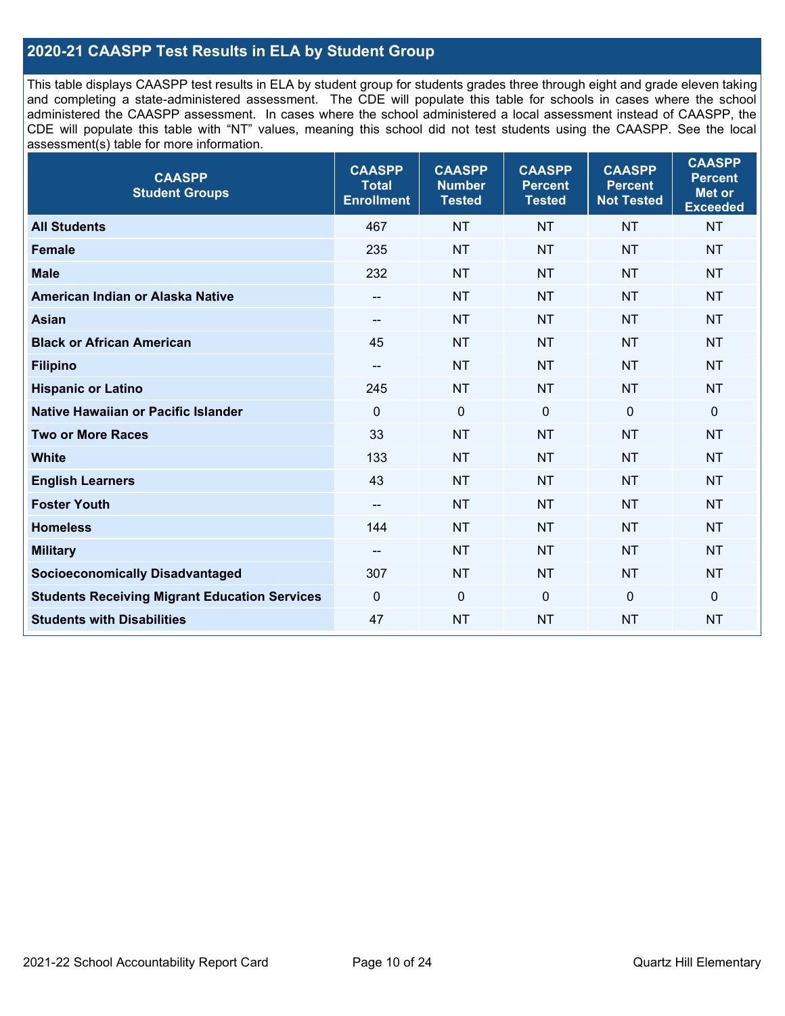## **2020-21 CAASPP Test Results in ELA by Student Group**

This table displays CAASPP test results in ELA by student group for students grades three through eight and grade eleven taking and completing a state-administered assessment. The CDE will populate this table for schools in cases where the school administered the CAASPP assessment. In cases where the school administered a local assessment instead of CAASPP, the CDE will populate this table with "NT" values, meaning this school did not test students using the CAASPP. See the local assessment(s) table for more information.

| <b>CAASPP</b><br><b>Student Groups</b>               | <b>CAASPP</b><br><b>Total</b><br><b>Enrollment</b> | <b>CAASPP</b><br><b>Number</b><br><b>Tested</b> | <b>CAASPP</b><br><b>Percent</b><br><b>Tested</b> | <b>CAASPP</b><br><b>Percent</b><br><b>Not Tested</b> | <b>CAASPP</b><br><b>Percent</b><br>Met or<br><b>Exceeded</b> |
|------------------------------------------------------|----------------------------------------------------|-------------------------------------------------|--------------------------------------------------|------------------------------------------------------|--------------------------------------------------------------|
| <b>All Students</b>                                  | 467                                                | <b>NT</b>                                       | <b>NT</b>                                        | <b>NT</b>                                            | <b>NT</b>                                                    |
| <b>Female</b>                                        | 235                                                | <b>NT</b>                                       | <b>NT</b>                                        | <b>NT</b>                                            | <b>NT</b>                                                    |
| <b>Male</b>                                          | 232                                                | <b>NT</b>                                       | <b>NT</b>                                        | <b>NT</b>                                            | <b>NT</b>                                                    |
| American Indian or Alaska Native                     | $\overline{\phantom{a}}$                           | <b>NT</b>                                       | <b>NT</b>                                        | <b>NT</b>                                            | <b>NT</b>                                                    |
| <b>Asian</b>                                         | $-$                                                | <b>NT</b>                                       | <b>NT</b>                                        | <b>NT</b>                                            | <b>NT</b>                                                    |
| <b>Black or African American</b>                     | 45                                                 | <b>NT</b>                                       | <b>NT</b>                                        | <b>NT</b>                                            | <b>NT</b>                                                    |
| <b>Filipino</b>                                      | $\overline{\phantom{a}}$                           | <b>NT</b>                                       | <b>NT</b>                                        | <b>NT</b>                                            | <b>NT</b>                                                    |
| <b>Hispanic or Latino</b>                            | 245                                                | <b>NT</b>                                       | <b>NT</b>                                        | <b>NT</b>                                            | <b>NT</b>                                                    |
| Native Hawaiian or Pacific Islander                  | $\mathbf 0$                                        | $\mathbf 0$                                     | $\mathbf 0$                                      | $\overline{0}$                                       | 0                                                            |
| <b>Two or More Races</b>                             | 33                                                 | <b>NT</b>                                       | <b>NT</b>                                        | <b>NT</b>                                            | <b>NT</b>                                                    |
| <b>White</b>                                         | 133                                                | <b>NT</b>                                       | <b>NT</b>                                        | <b>NT</b>                                            | <b>NT</b>                                                    |
| <b>English Learners</b>                              | 43                                                 | <b>NT</b>                                       | <b>NT</b>                                        | <b>NT</b>                                            | <b>NT</b>                                                    |
| <b>Foster Youth</b>                                  | $\overline{\phantom{a}}$                           | <b>NT</b>                                       | <b>NT</b>                                        | <b>NT</b>                                            | <b>NT</b>                                                    |
| <b>Homeless</b>                                      | 144                                                | <b>NT</b>                                       | <b>NT</b>                                        | <b>NT</b>                                            | <b>NT</b>                                                    |
| <b>Military</b>                                      | --                                                 | <b>NT</b>                                       | <b>NT</b>                                        | <b>NT</b>                                            | <b>NT</b>                                                    |
| <b>Socioeconomically Disadvantaged</b>               | 307                                                | <b>NT</b>                                       | <b>NT</b>                                        | <b>NT</b>                                            | <b>NT</b>                                                    |
| <b>Students Receiving Migrant Education Services</b> | $\mathbf 0$                                        | $\mathbf 0$                                     | $\mathbf 0$                                      | $\mathbf 0$                                          | 0                                                            |
| <b>Students with Disabilities</b>                    | 47                                                 | <b>NT</b>                                       | <b>NT</b>                                        | <b>NT</b>                                            | <b>NT</b>                                                    |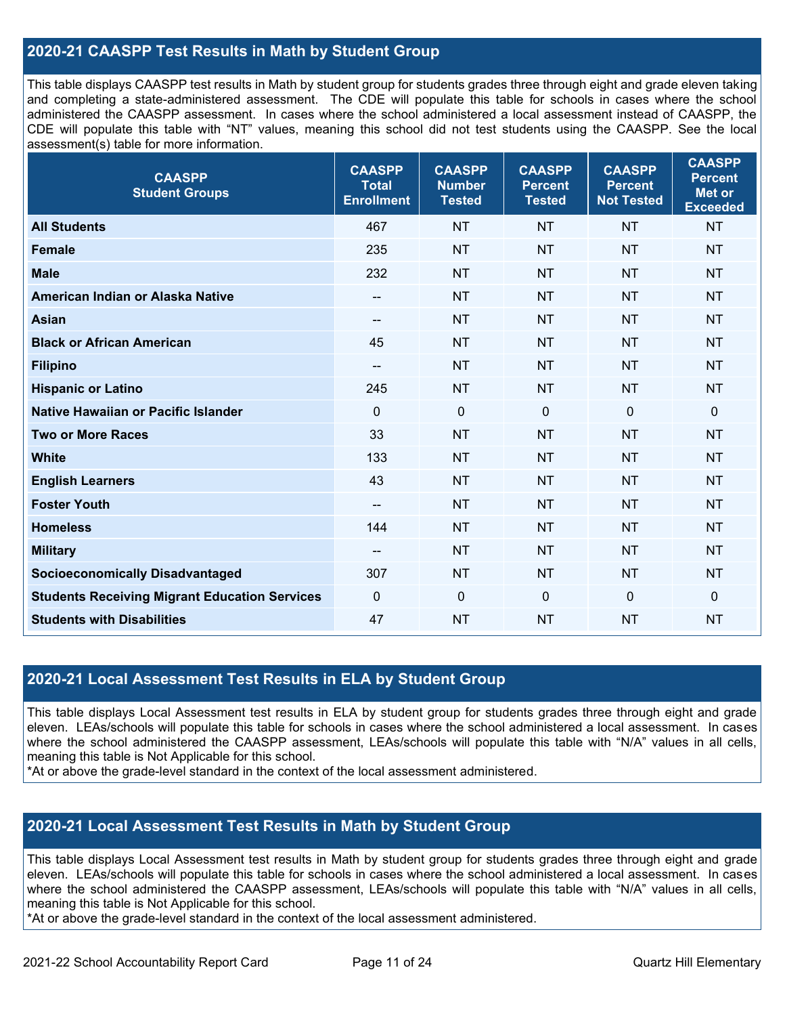## **2020-21 CAASPP Test Results in Math by Student Group**

This table displays CAASPP test results in Math by student group for students grades three through eight and grade eleven taking and completing a state-administered assessment. The CDE will populate this table for schools in cases where the school administered the CAASPP assessment. In cases where the school administered a local assessment instead of CAASPP, the CDE will populate this table with "NT" values, meaning this school did not test students using the CAASPP. See the local assessment(s) table for more information.

| <b>CAASPP</b><br><b>Student Groups</b>               | <b>CAASPP</b><br><b>Total</b><br><b>Enrollment</b> | <b>CAASPP</b><br><b>Number</b><br><b>Tested</b> | <b>CAASPP</b><br><b>Percent</b><br><b>Tested</b> | <b>CAASPP</b><br><b>Percent</b><br><b>Not Tested</b> | <b>CAASPP</b><br><b>Percent</b><br><b>Met or</b><br><b>Exceeded</b> |
|------------------------------------------------------|----------------------------------------------------|-------------------------------------------------|--------------------------------------------------|------------------------------------------------------|---------------------------------------------------------------------|
| <b>All Students</b>                                  | 467                                                | <b>NT</b>                                       | <b>NT</b>                                        | <b>NT</b>                                            | <b>NT</b>                                                           |
| <b>Female</b>                                        | 235                                                | <b>NT</b>                                       | <b>NT</b>                                        | <b>NT</b>                                            | <b>NT</b>                                                           |
| <b>Male</b>                                          | 232                                                | <b>NT</b>                                       | <b>NT</b>                                        | <b>NT</b>                                            | <b>NT</b>                                                           |
| American Indian or Alaska Native                     | $-$                                                | <b>NT</b>                                       | <b>NT</b>                                        | <b>NT</b>                                            | <b>NT</b>                                                           |
| <b>Asian</b>                                         | $\overline{\phantom{a}}$                           | <b>NT</b>                                       | <b>NT</b>                                        | <b>NT</b>                                            | <b>NT</b>                                                           |
| <b>Black or African American</b>                     | 45                                                 | <b>NT</b>                                       | <b>NT</b>                                        | <b>NT</b>                                            | <b>NT</b>                                                           |
| <b>Filipino</b>                                      | $\overline{\phantom{a}}$                           | <b>NT</b>                                       | <b>NT</b>                                        | <b>NT</b>                                            | <b>NT</b>                                                           |
| <b>Hispanic or Latino</b>                            | 245                                                | <b>NT</b>                                       | <b>NT</b>                                        | <b>NT</b>                                            | <b>NT</b>                                                           |
| Native Hawaiian or Pacific Islander                  | $\mathbf 0$                                        | $\mathbf 0$                                     | $\mathbf 0$                                      | $\mathbf 0$                                          | $\mathbf 0$                                                         |
| <b>Two or More Races</b>                             | 33                                                 | <b>NT</b>                                       | <b>NT</b>                                        | <b>NT</b>                                            | <b>NT</b>                                                           |
| <b>White</b>                                         | 133                                                | <b>NT</b>                                       | <b>NT</b>                                        | <b>NT</b>                                            | <b>NT</b>                                                           |
| <b>English Learners</b>                              | 43                                                 | <b>NT</b>                                       | <b>NT</b>                                        | <b>NT</b>                                            | <b>NT</b>                                                           |
| <b>Foster Youth</b>                                  | $\overline{\phantom{a}}$                           | <b>NT</b>                                       | <b>NT</b>                                        | <b>NT</b>                                            | <b>NT</b>                                                           |
| <b>Homeless</b>                                      | 144                                                | <b>NT</b>                                       | <b>NT</b>                                        | <b>NT</b>                                            | <b>NT</b>                                                           |
| <b>Military</b>                                      | --                                                 | <b>NT</b>                                       | <b>NT</b>                                        | <b>NT</b>                                            | <b>NT</b>                                                           |
| <b>Socioeconomically Disadvantaged</b>               | 307                                                | <b>NT</b>                                       | <b>NT</b>                                        | <b>NT</b>                                            | <b>NT</b>                                                           |
| <b>Students Receiving Migrant Education Services</b> | $\mathbf{0}$                                       | $\mathbf 0$                                     | $\mathbf{0}$                                     | $\mathbf 0$                                          | $\mathbf 0$                                                         |
| <b>Students with Disabilities</b>                    | 47                                                 | <b>NT</b>                                       | <b>NT</b>                                        | <b>NT</b>                                            | <b>NT</b>                                                           |

## **2020-21 Local Assessment Test Results in ELA by Student Group**

This table displays Local Assessment test results in ELA by student group for students grades three through eight and grade eleven. LEAs/schools will populate this table for schools in cases where the school administered a local assessment. In cases where the school administered the CAASPP assessment, LEAs/schools will populate this table with "N/A" values in all cells, meaning this table is Not Applicable for this school.

\*At or above the grade-level standard in the context of the local assessment administered.

## **2020-21 Local Assessment Test Results in Math by Student Group**

This table displays Local Assessment test results in Math by student group for students grades three through eight and grade eleven. LEAs/schools will populate this table for schools in cases where the school administered a local assessment. In cases where the school administered the CAASPP assessment, LEAs/schools will populate this table with "N/A" values in all cells, meaning this table is Not Applicable for this school.

\*At or above the grade-level standard in the context of the local assessment administered.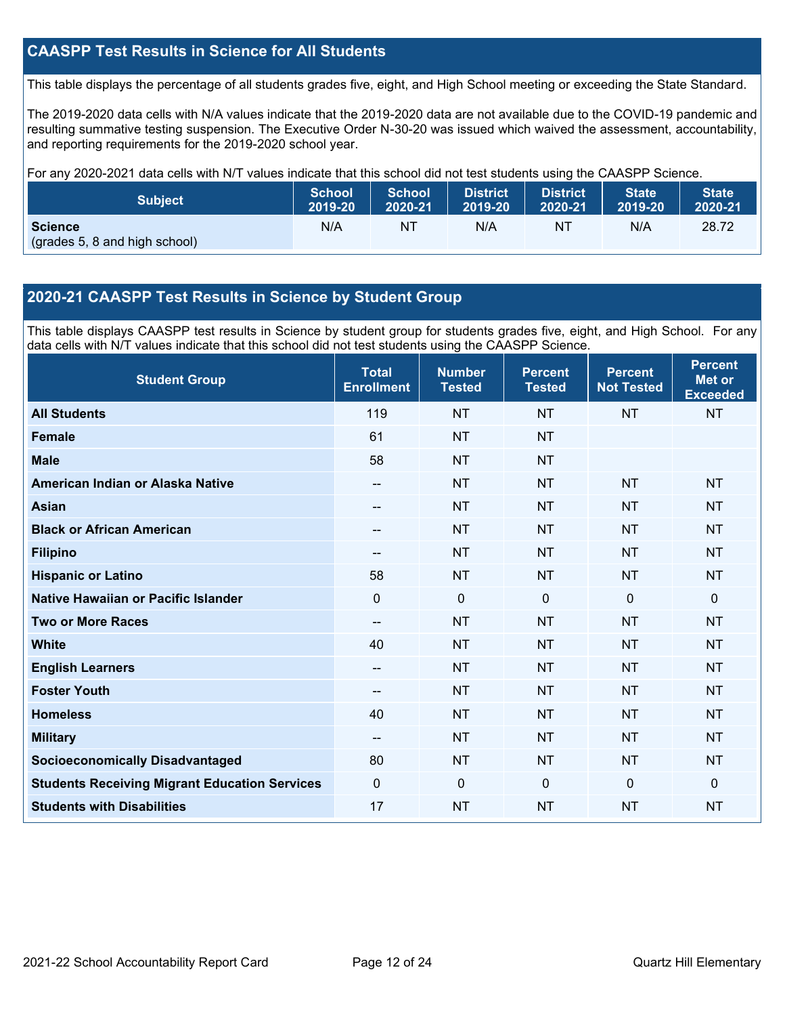## **CAASPP Test Results in Science for All Students**

This table displays the percentage of all students grades five, eight, and High School meeting or exceeding the State Standard.

The 2019-2020 data cells with N/A values indicate that the 2019-2020 data are not available due to the COVID-19 pandemic and resulting summative testing suspension. The Executive Order N-30-20 was issued which waived the assessment, accountability, and reporting requirements for the 2019-2020 school year.

For any 2020-2021 data cells with N/T values indicate that this school did not test students using the CAASPP Science.

| <b>Subject</b>                                  | <b>School</b> | <b>School</b>  | <b>District</b> | <b>District</b> | <b>State</b> | <b>State</b> |
|-------------------------------------------------|---------------|----------------|-----------------|-----------------|--------------|--------------|
|                                                 | 2019-20       | 2020-21        | 2019-20         | 2020-21         | 2019-20      | 2020-21      |
| <b>Science</b><br>(grades 5, 8 and high school) | N/A           | N <sub>1</sub> | N/A             | NT              | N/A          | 28.72        |

## **2020-21 CAASPP Test Results in Science by Student Group**

This table displays CAASPP test results in Science by student group for students grades five, eight, and High School. For any data cells with N/T values indicate that this school did not test students using the CAASPP Science.

| <b>Student Group</b>                                 | <b>Total</b><br><b>Enrollment</b> | <b>Number</b><br><b>Tested</b> | <b>Percent</b><br><b>Tested</b> | <b>Percent</b><br><b>Not Tested</b> | <b>Percent</b><br><b>Met or</b><br><b>Exceeded</b> |
|------------------------------------------------------|-----------------------------------|--------------------------------|---------------------------------|-------------------------------------|----------------------------------------------------|
| <b>All Students</b>                                  | 119                               | <b>NT</b>                      | <b>NT</b>                       | <b>NT</b>                           | <b>NT</b>                                          |
| <b>Female</b>                                        | 61                                | <b>NT</b>                      | <b>NT</b>                       |                                     |                                                    |
| <b>Male</b>                                          | 58                                | <b>NT</b>                      | <b>NT</b>                       |                                     |                                                    |
| American Indian or Alaska Native                     | $\overline{\phantom{a}}$          | <b>NT</b>                      | <b>NT</b>                       | <b>NT</b>                           | <b>NT</b>                                          |
| <b>Asian</b>                                         |                                   | <b>NT</b>                      | <b>NT</b>                       | <b>NT</b>                           | <b>NT</b>                                          |
| <b>Black or African American</b>                     | --                                | <b>NT</b>                      | <b>NT</b>                       | <b>NT</b>                           | <b>NT</b>                                          |
| <b>Filipino</b>                                      | --                                | <b>NT</b>                      | <b>NT</b>                       | <b>NT</b>                           | <b>NT</b>                                          |
| <b>Hispanic or Latino</b>                            | 58                                | <b>NT</b>                      | <b>NT</b>                       | <b>NT</b>                           | <b>NT</b>                                          |
| Native Hawaiian or Pacific Islander                  | $\overline{0}$                    | $\mathbf 0$                    | $\mathbf 0$                     | $\overline{0}$                      | $\mathbf 0$                                        |
| <b>Two or More Races</b>                             | --                                | <b>NT</b>                      | <b>NT</b>                       | <b>NT</b>                           | <b>NT</b>                                          |
| <b>White</b>                                         | 40                                | <b>NT</b>                      | <b>NT</b>                       | <b>NT</b>                           | <b>NT</b>                                          |
| <b>English Learners</b>                              | --                                | <b>NT</b>                      | <b>NT</b>                       | <b>NT</b>                           | <b>NT</b>                                          |
| <b>Foster Youth</b>                                  | --                                | <b>NT</b>                      | <b>NT</b>                       | <b>NT</b>                           | <b>NT</b>                                          |
| <b>Homeless</b>                                      | 40                                | <b>NT</b>                      | <b>NT</b>                       | <b>NT</b>                           | <b>NT</b>                                          |
| <b>Military</b>                                      | $\overline{\phantom{a}}$          | <b>NT</b>                      | <b>NT</b>                       | <b>NT</b>                           | <b>NT</b>                                          |
| <b>Socioeconomically Disadvantaged</b>               | 80                                | <b>NT</b>                      | <b>NT</b>                       | <b>NT</b>                           | <b>NT</b>                                          |
| <b>Students Receiving Migrant Education Services</b> | 0                                 | 0                              | $\mathbf{0}$                    | $\mathbf{0}$                        | $\mathbf{0}$                                       |
| <b>Students with Disabilities</b>                    | 17                                | <b>NT</b>                      | <b>NT</b>                       | <b>NT</b>                           | <b>NT</b>                                          |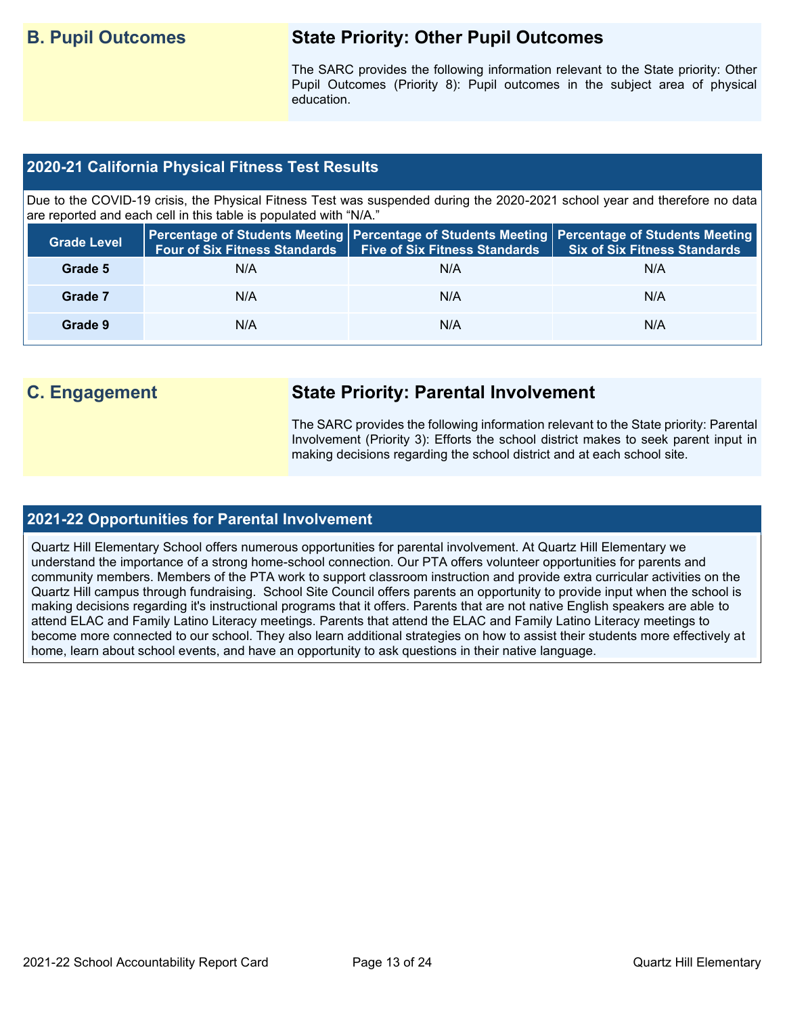## **B. Pupil Outcomes State Priority: Other Pupil Outcomes**

The SARC provides the following information relevant to the State priority: Other Pupil Outcomes (Priority 8): Pupil outcomes in the subject area of physical education.

## **2020-21 California Physical Fitness Test Results**

Due to the COVID-19 crisis, the Physical Fitness Test was suspended during the 2020-2021 school year and therefore no data are reported and each cell in this table is populated with "N/A."

| <b>Grade Level</b> | <b>Four of Six Fitness Standards</b> | <b>Five of Six Fitness Standards</b> | Percentage of Students Meeting   Percentage of Students Meeting   Percentage of Students Meeting  <br><b>Six of Six Fitness Standards</b> |
|--------------------|--------------------------------------|--------------------------------------|-------------------------------------------------------------------------------------------------------------------------------------------|
| Grade 5            | N/A                                  | N/A                                  | N/A                                                                                                                                       |
| Grade 7            | N/A                                  | N/A                                  | N/A                                                                                                                                       |
| Grade 9            | N/A                                  | N/A                                  | N/A                                                                                                                                       |

## **C. Engagement State Priority: Parental Involvement**

The SARC provides the following information relevant to the State priority: Parental Involvement (Priority 3): Efforts the school district makes to seek parent input in making decisions regarding the school district and at each school site.

## **2021-22 Opportunities for Parental Involvement**

Quartz Hill Elementary School offers numerous opportunities for parental involvement. At Quartz Hill Elementary we understand the importance of a strong home-school connection. Our PTA offers volunteer opportunities for parents and community members. Members of the PTA work to support classroom instruction and provide extra curricular activities on the Quartz Hill campus through fundraising. School Site Council offers parents an opportunity to provide input when the school is making decisions regarding it's instructional programs that it offers. Parents that are not native English speakers are able to attend ELAC and Family Latino Literacy meetings. Parents that attend the ELAC and Family Latino Literacy meetings to become more connected to our school. They also learn additional strategies on how to assist their students more effectively at home, learn about school events, and have an opportunity to ask questions in their native language.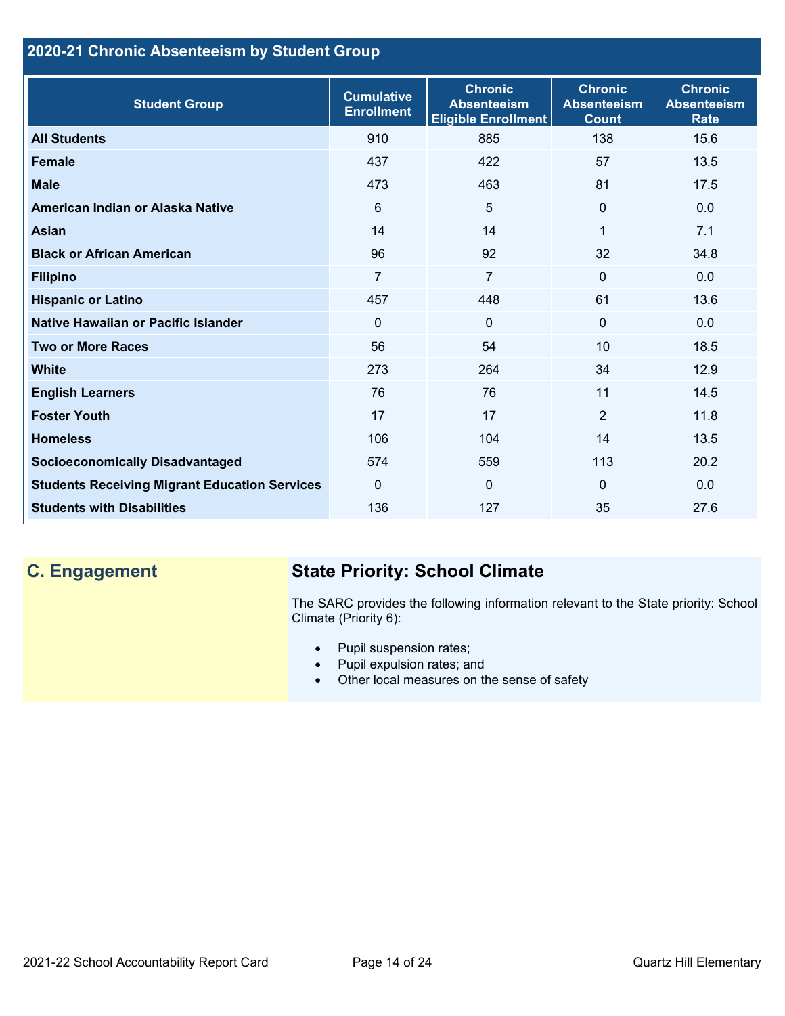## **2020-21 Chronic Absenteeism by Student Group**

| <b>Student Group</b>                                 | <b>Cumulative</b><br><b>Enrollment</b> | <b>Chronic</b><br><b>Absenteeism</b><br><b>Eligible Enrollment</b> | <b>Chronic</b><br><b>Absenteeism</b><br><b>Count</b> | <b>Chronic</b><br><b>Absenteeism</b><br><b>Rate</b> |
|------------------------------------------------------|----------------------------------------|--------------------------------------------------------------------|------------------------------------------------------|-----------------------------------------------------|
| <b>All Students</b>                                  | 910                                    | 885                                                                | 138                                                  | 15.6                                                |
| <b>Female</b>                                        | 437                                    | 422                                                                | 57                                                   | 13.5                                                |
| <b>Male</b>                                          | 473                                    | 463                                                                | 81                                                   | 17.5                                                |
| American Indian or Alaska Native                     | 6                                      | 5                                                                  | $\mathbf{0}$                                         | 0.0                                                 |
| <b>Asian</b>                                         | 14                                     | 14                                                                 | 1                                                    | 7.1                                                 |
| <b>Black or African American</b>                     | 96                                     | 92                                                                 | 32                                                   | 34.8                                                |
| <b>Filipino</b>                                      | $\overline{7}$                         | $\overline{7}$                                                     | $\mathbf{0}$                                         | 0.0                                                 |
| <b>Hispanic or Latino</b>                            | 457                                    | 448                                                                | 61                                                   | 13.6                                                |
| Native Hawaiian or Pacific Islander                  | $\Omega$                               | $\mathbf 0$                                                        | $\mathbf{0}$                                         | 0.0                                                 |
| <b>Two or More Races</b>                             | 56                                     | 54                                                                 | 10                                                   | 18.5                                                |
| <b>White</b>                                         | 273                                    | 264                                                                | 34                                                   | 12.9                                                |
| <b>English Learners</b>                              | 76                                     | 76                                                                 | 11                                                   | 14.5                                                |
| <b>Foster Youth</b>                                  | 17                                     | 17                                                                 | $\overline{2}$                                       | 11.8                                                |
| <b>Homeless</b>                                      | 106                                    | 104                                                                | 14                                                   | 13.5                                                |
| <b>Socioeconomically Disadvantaged</b>               | 574                                    | 559                                                                | 113                                                  | 20.2                                                |
| <b>Students Receiving Migrant Education Services</b> | $\mathbf{0}$                           | $\mathbf 0$                                                        | $\mathbf{0}$                                         | 0.0                                                 |
| <b>Students with Disabilities</b>                    | 136                                    | 127                                                                | 35                                                   | 27.6                                                |

# **C. Engagement State Priority: School Climate**

The SARC provides the following information relevant to the State priority: School Climate (Priority 6):

- Pupil suspension rates;
- Pupil expulsion rates; and
- Other local measures on the sense of safety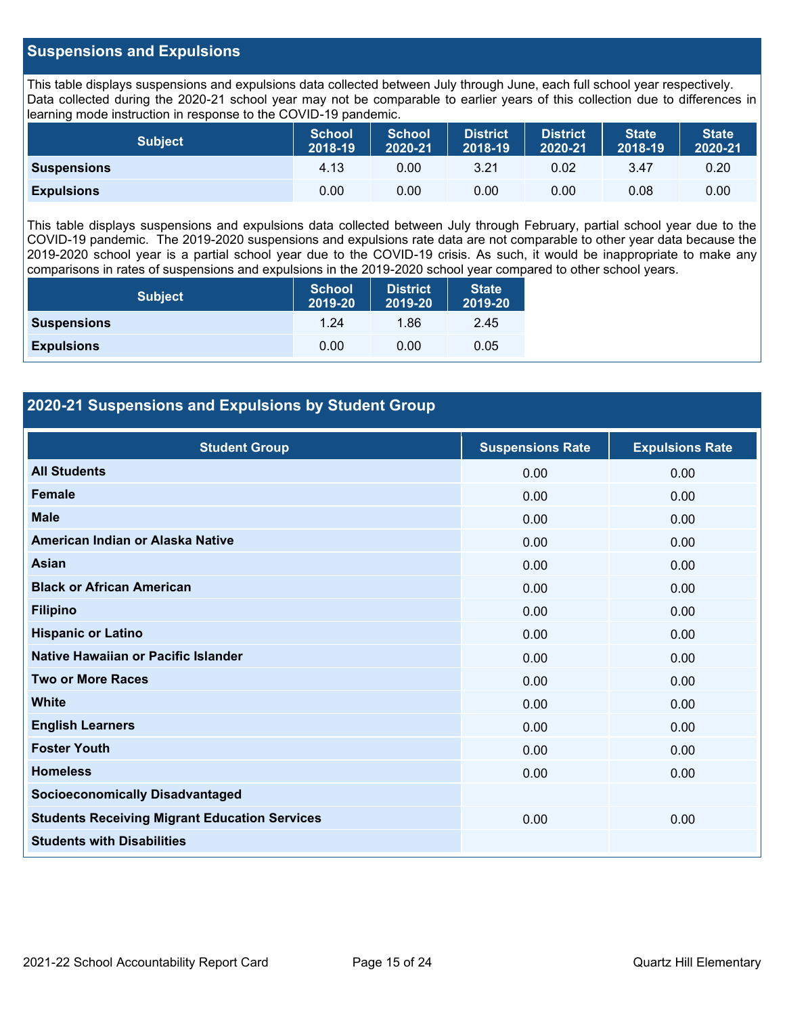## **Suspensions and Expulsions**

This table displays suspensions and expulsions data collected between July through June, each full school year respectively. Data collected during the 2020-21 school year may not be comparable to earlier years of this collection due to differences in learning mode instruction in response to the COVID-19 pandemic.

| <b>Subject</b>     | <b>School</b><br>2018-19 | <b>School</b><br>2020-21 | <b>District</b><br>2018-19 | <b>District</b><br>2020-21 | <b>State</b><br>2018-19 | <b>State</b><br>2020-21 |
|--------------------|--------------------------|--------------------------|----------------------------|----------------------------|-------------------------|-------------------------|
| <b>Suspensions</b> | 4.13                     | 0.00                     | 3.21                       | 0.02                       | 3.47                    | 0.20                    |
| <b>Expulsions</b>  | 0.00                     | 0.00                     | 0.00                       | 0.00                       | 0.08                    | 0.00                    |

This table displays suspensions and expulsions data collected between July through February, partial school year due to the COVID-19 pandemic. The 2019-2020 suspensions and expulsions rate data are not comparable to other year data because the 2019-2020 school year is a partial school year due to the COVID-19 crisis. As such, it would be inappropriate to make any comparisons in rates of suspensions and expulsions in the 2019-2020 school year compared to other school years.

| <b>Subject</b>     | School<br>2019-20 | <b>District</b><br>2019-20 | <b>State</b><br>2019-20 |
|--------------------|-------------------|----------------------------|-------------------------|
| <b>Suspensions</b> | 1.24              | 1.86                       | 2.45                    |
| <b>Expulsions</b>  | 0.00              | 0.00                       | 0.05                    |

## **2020-21 Suspensions and Expulsions by Student Group**

| <b>Student Group</b>                                 | <b>Suspensions Rate</b> | <b>Expulsions Rate</b> |
|------------------------------------------------------|-------------------------|------------------------|
| <b>All Students</b>                                  | 0.00                    | 0.00                   |
| <b>Female</b>                                        | 0.00                    | 0.00                   |
| <b>Male</b>                                          | 0.00                    | 0.00                   |
| American Indian or Alaska Native                     | 0.00                    | 0.00                   |
| <b>Asian</b>                                         | 0.00                    | 0.00                   |
| <b>Black or African American</b>                     | 0.00                    | 0.00                   |
| <b>Filipino</b>                                      | 0.00                    | 0.00                   |
| <b>Hispanic or Latino</b>                            | 0.00                    | 0.00                   |
| Native Hawaiian or Pacific Islander                  | 0.00                    | 0.00                   |
| <b>Two or More Races</b>                             | 0.00                    | 0.00                   |
| <b>White</b>                                         | 0.00                    | 0.00                   |
| <b>English Learners</b>                              | 0.00                    | 0.00                   |
| <b>Foster Youth</b>                                  | 0.00                    | 0.00                   |
| <b>Homeless</b>                                      | 0.00                    | 0.00                   |
| <b>Socioeconomically Disadvantaged</b>               |                         |                        |
| <b>Students Receiving Migrant Education Services</b> | 0.00                    | 0.00                   |
| <b>Students with Disabilities</b>                    |                         |                        |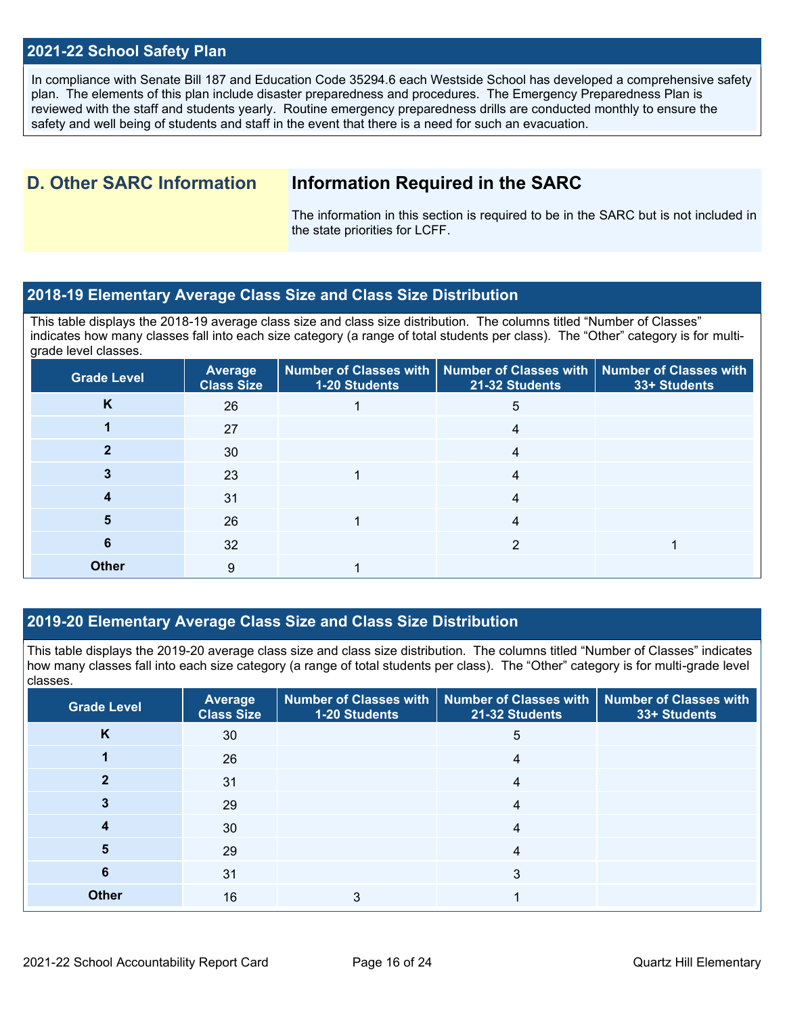## **2021-22 School Safety Plan**

In compliance with Senate Bill 187 and Education Code 35294.6 each Westside School has developed a comprehensive safety plan. The elements of this plan include disaster preparedness and procedures. The Emergency Preparedness Plan is reviewed with the staff and students yearly. Routine emergency preparedness drills are conducted monthly to ensure the safety and well being of students and staff in the event that there is a need for such an evacuation.

## **D. Other SARC Information Information Required in the SARC**

The information in this section is required to be in the SARC but is not included in the state priorities for LCFF.

## **2018-19 Elementary Average Class Size and Class Size Distribution**

This table displays the 2018-19 average class size and class size distribution. The columns titled "Number of Classes" indicates how many classes fall into each size category (a range of total students per class). The "Other" category is for multigrade level classes.

| <b>Grade Level</b> | Average<br><b>Class Size</b> | 1-20 Students | Number of Classes with   Number of Classes with   Number of Classes with<br>21-32 Students | 33+ Students |
|--------------------|------------------------------|---------------|--------------------------------------------------------------------------------------------|--------------|
| K                  | 26                           |               | 5                                                                                          |              |
|                    | 27                           |               | 4                                                                                          |              |
|                    | 30                           |               | 4                                                                                          |              |
|                    | 23                           |               | 4                                                                                          |              |
|                    | 31                           |               | 4                                                                                          |              |
| 5                  | 26                           |               | 4                                                                                          |              |
| 6                  | 32                           |               |                                                                                            |              |
| <b>Other</b>       | 9                            |               |                                                                                            |              |

## **2019-20 Elementary Average Class Size and Class Size Distribution**

This table displays the 2019-20 average class size and class size distribution. The columns titled "Number of Classes" indicates how many classes fall into each size category (a range of total students per class). The "Other" category is for multi-grade level classes.

| <b>Grade Level</b> | <b>Average</b><br><b>Class Size</b> | 1-20 Students | Number of Classes with   Number of Classes with   Number of Classes with<br>21-32 Students | 33+ Students |
|--------------------|-------------------------------------|---------------|--------------------------------------------------------------------------------------------|--------------|
| K                  | 30                                  |               | 5                                                                                          |              |
|                    | 26                                  |               | 4                                                                                          |              |
|                    | 31                                  |               | 4                                                                                          |              |
|                    | 29                                  |               | 4                                                                                          |              |
|                    | 30                                  |               | 4                                                                                          |              |
| 5                  | 29                                  |               | 4                                                                                          |              |
| 6                  | 31                                  |               | 3                                                                                          |              |
| <b>Other</b>       | 16                                  | 3             |                                                                                            |              |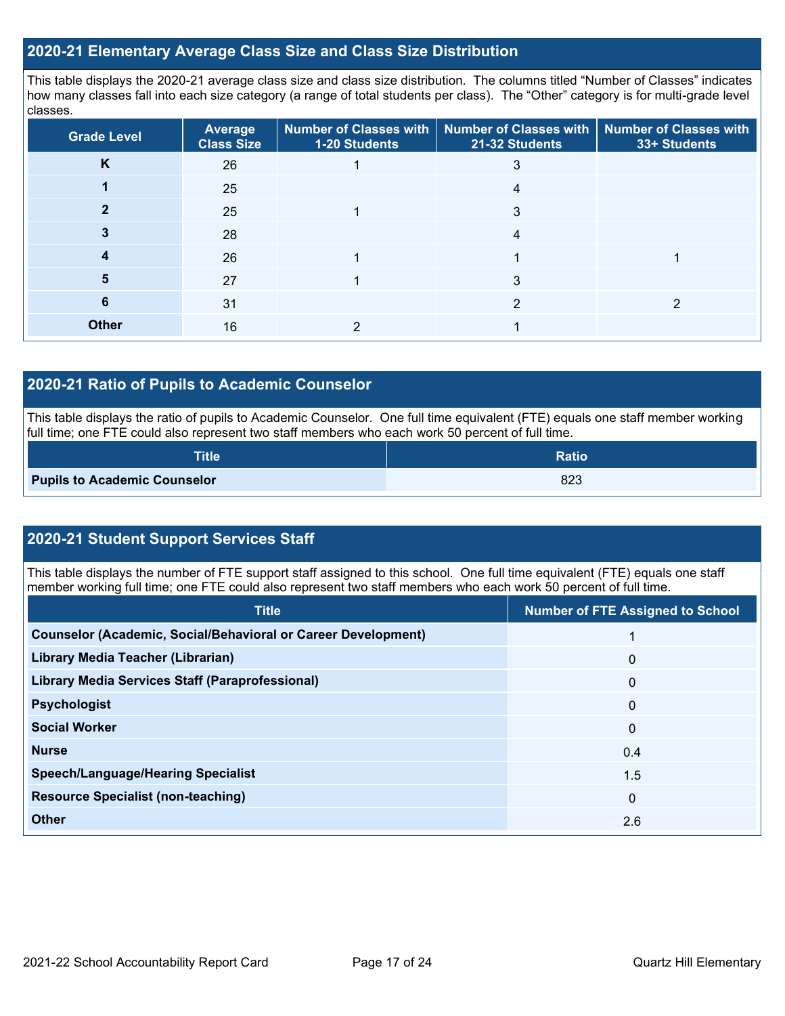## **2020-21 Elementary Average Class Size and Class Size Distribution**

This table displays the 2020-21 average class size and class size distribution. The columns titled "Number of Classes" indicates how many classes fall into each size category (a range of total students per class). The "Other" category is for multi-grade level classes.

| <b>Grade Level</b> | <b>Average</b><br><b>Class Size</b> | 1-20 Students | Number of Classes with   Number of Classes with   Number of Classes with<br>21-32 Students | 33+ Students |
|--------------------|-------------------------------------|---------------|--------------------------------------------------------------------------------------------|--------------|
| K                  | 26                                  |               |                                                                                            |              |
|                    | 25                                  |               | 4                                                                                          |              |
|                    | 25                                  |               | 3                                                                                          |              |
|                    | 28                                  |               | 4                                                                                          |              |
|                    | 26                                  |               |                                                                                            |              |
| 5                  | 27                                  |               | 3                                                                                          |              |
| 6                  | 31                                  |               | っ                                                                                          |              |
| <b>Other</b>       | 16                                  |               |                                                                                            |              |

## **2020-21 Ratio of Pupils to Academic Counselor**

This table displays the ratio of pupils to Academic Counselor. One full time equivalent (FTE) equals one staff member working full time; one FTE could also represent two staff members who each work 50 percent of full time.

| <b>Title</b>                        | <b>Ratio</b> |
|-------------------------------------|--------------|
| <b>Pupils to Academic Counselor</b> | 823          |

## **2020-21 Student Support Services Staff**

This table displays the number of FTE support staff assigned to this school. One full time equivalent (FTE) equals one staff member working full time; one FTE could also represent two staff members who each work 50 percent of full time.

| <b>Title</b>                                                         | <b>Number of FTE Assigned to School</b> |
|----------------------------------------------------------------------|-----------------------------------------|
| <b>Counselor (Academic, Social/Behavioral or Career Development)</b> |                                         |
| Library Media Teacher (Librarian)                                    | 0                                       |
| <b>Library Media Services Staff (Paraprofessional)</b>               | $\mathbf{0}$                            |
| <b>Psychologist</b>                                                  | $\mathbf{0}$                            |
| <b>Social Worker</b>                                                 | $\mathbf{0}$                            |
| <b>Nurse</b>                                                         | 0.4                                     |
| <b>Speech/Language/Hearing Specialist</b>                            | 1.5                                     |
| <b>Resource Specialist (non-teaching)</b>                            | $\mathbf{0}$                            |
| <b>Other</b>                                                         | 2.6                                     |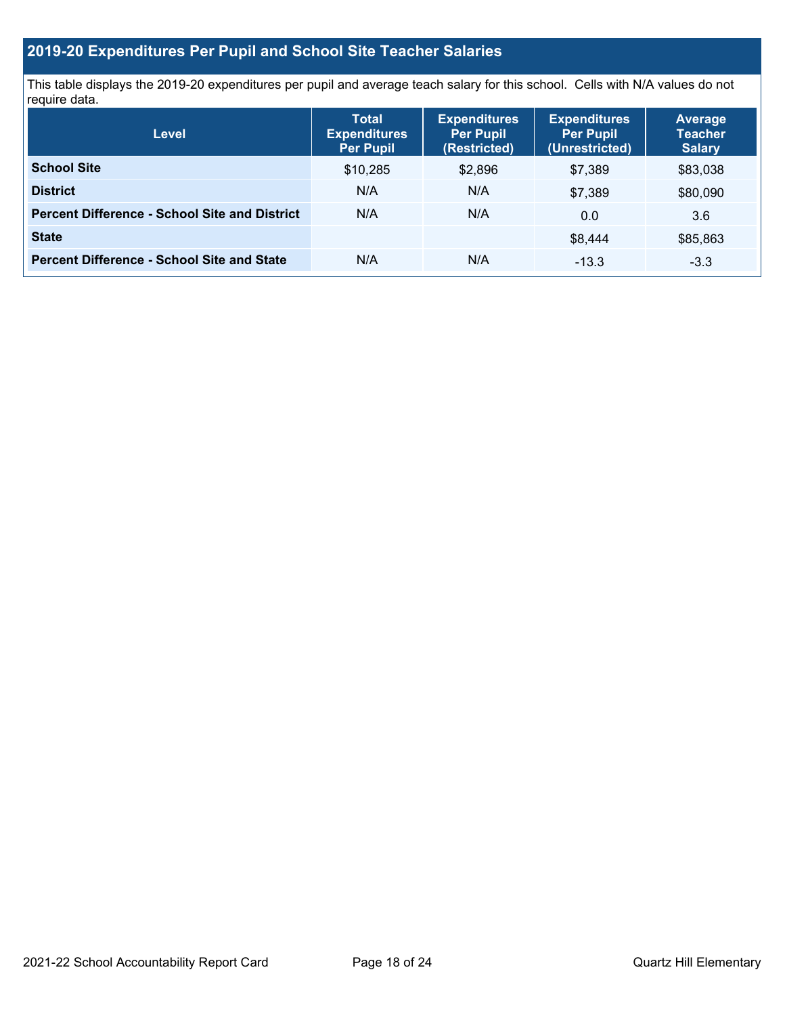## **2019-20 Expenditures Per Pupil and School Site Teacher Salaries**

This table displays the 2019-20 expenditures per pupil and average teach salary for this school. Cells with N/A values do not require data.

| <b>Level</b>                                         | <b>Total</b><br><b>Expenditures</b><br><b>Per Pupil</b> | <b>Expenditures</b><br><b>Per Pupil</b><br>(Restricted) | <b>Expenditures</b><br><b>Per Pupil</b><br>(Unrestricted) | <b>Average</b><br><b>Teacher</b><br><b>Salary</b> |
|------------------------------------------------------|---------------------------------------------------------|---------------------------------------------------------|-----------------------------------------------------------|---------------------------------------------------|
| <b>School Site</b>                                   | \$10,285                                                | \$2,896                                                 | \$7,389                                                   | \$83,038                                          |
| <b>District</b>                                      | N/A                                                     | N/A                                                     | \$7,389                                                   | \$80,090                                          |
| <b>Percent Difference - School Site and District</b> | N/A                                                     | N/A                                                     | 0.0                                                       | 3.6                                               |
| <b>State</b>                                         |                                                         |                                                         | \$8.444                                                   | \$85,863                                          |
| <b>Percent Difference - School Site and State</b>    | N/A                                                     | N/A                                                     | $-13.3$                                                   | $-3.3$                                            |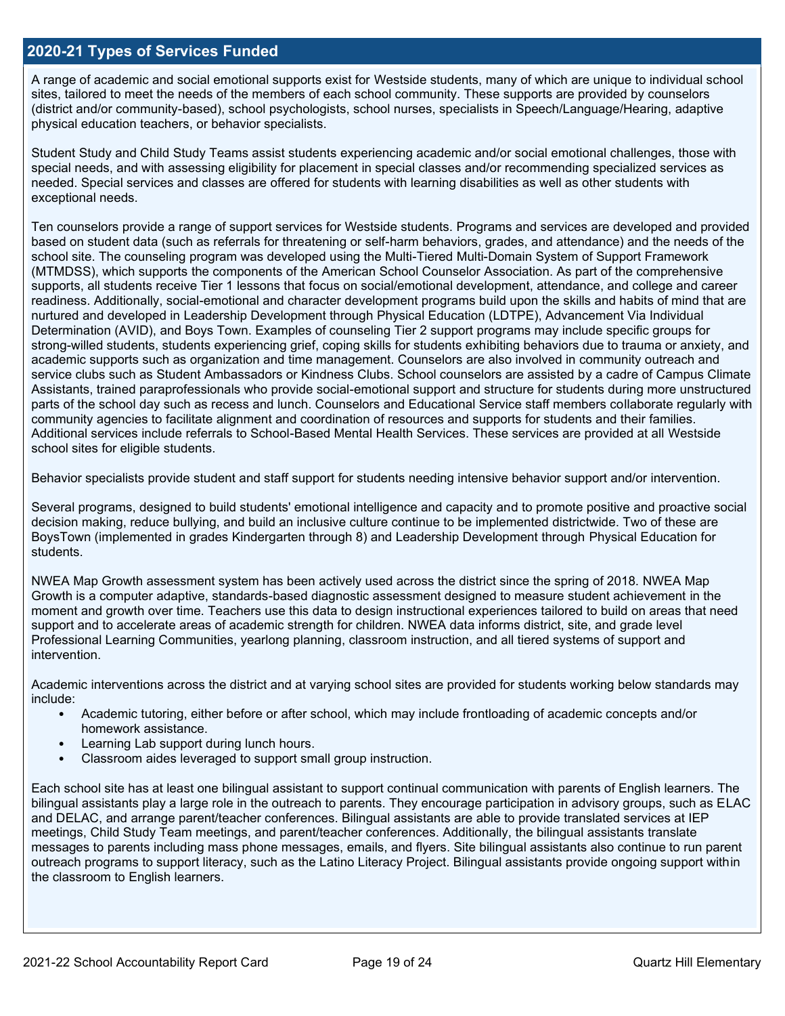## **2020-21 Types of Services Funded**

A range of academic and social emotional supports exist for Westside students, many of which are unique to individual school sites, tailored to meet the needs of the members of each school community. These supports are provided by counselors (district and/or community-based), school psychologists, school nurses, specialists in Speech/Language/Hearing, adaptive physical education teachers, or behavior specialists.

Student Study and Child Study Teams assist students experiencing academic and/or social emotional challenges, those with special needs, and with assessing eligibility for placement in special classes and/or recommending specialized services as needed. Special services and classes are offered for students with learning disabilities as well as other students with exceptional needs.

Ten counselors provide a range of support services for Westside students. Programs and services are developed and provided based on student data (such as referrals for threatening or self-harm behaviors, grades, and attendance) and the needs of the school site. The counseling program was developed using the Multi-Tiered Multi-Domain System of Support Framework (MTMDSS), which supports the components of the American School Counselor Association. As part of the comprehensive supports, all students receive Tier 1 lessons that focus on social/emotional development, attendance, and college and career readiness. Additionally, social-emotional and character development programs build upon the skills and habits of mind that are nurtured and developed in Leadership Development through Physical Education (LDTPE), Advancement Via Individual Determination (AVID), and Boys Town. Examples of counseling Tier 2 support programs may include specific groups for strong-willed students, students experiencing grief, coping skills for students exhibiting behaviors due to trauma or anxiety, and academic supports such as organization and time management. Counselors are also involved in community outreach and service clubs such as Student Ambassadors or Kindness Clubs. School counselors are assisted by a cadre of Campus Climate Assistants, trained paraprofessionals who provide social-emotional support and structure for students during more unstructured parts of the school day such as recess and lunch. Counselors and Educational Service staff members collaborate regularly with community agencies to facilitate alignment and coordination of resources and supports for students and their families. Additional services include referrals to School-Based Mental Health Services. These services are provided at all Westside school sites for eligible students.

Behavior specialists provide student and staff support for students needing intensive behavior support and/or intervention.

Several programs, designed to build students' emotional intelligence and capacity and to promote positive and proactive social decision making, reduce bullying, and build an inclusive culture continue to be implemented districtwide. Two of these are BoysTown (implemented in grades Kindergarten through 8) and Leadership Development through Physical Education for students.

NWEA Map Growth assessment system has been actively used across the district since the spring of 2018. NWEA Map Growth is a computer adaptive, standards-based diagnostic assessment designed to measure student achievement in the moment and growth over time. Teachers use this data to design instructional experiences tailored to build on areas that need support and to accelerate areas of academic strength for children. NWEA data informs district, site, and grade level Professional Learning Communities, yearlong planning, classroom instruction, and all tiered systems of support and intervention.

Academic interventions across the district and at varying school sites are provided for students working below standards may include:

- Academic tutoring, either before or after school, which may include frontloading of academic concepts and/or homework assistance.
- Learning Lab support during lunch hours.
- Classroom aides leveraged to support small group instruction.

Each school site has at least one bilingual assistant to support continual communication with parents of English learners. The bilingual assistants play a large role in the outreach to parents. They encourage participation in advisory groups, such as ELAC and DELAC, and arrange parent/teacher conferences. Bilingual assistants are able to provide translated services at IEP meetings, Child Study Team meetings, and parent/teacher conferences. Additionally, the bilingual assistants translate messages to parents including mass phone messages, emails, and flyers. Site bilingual assistants also continue to run parent outreach programs to support literacy, such as the Latino Literacy Project. Bilingual assistants provide ongoing support within the classroom to English learners.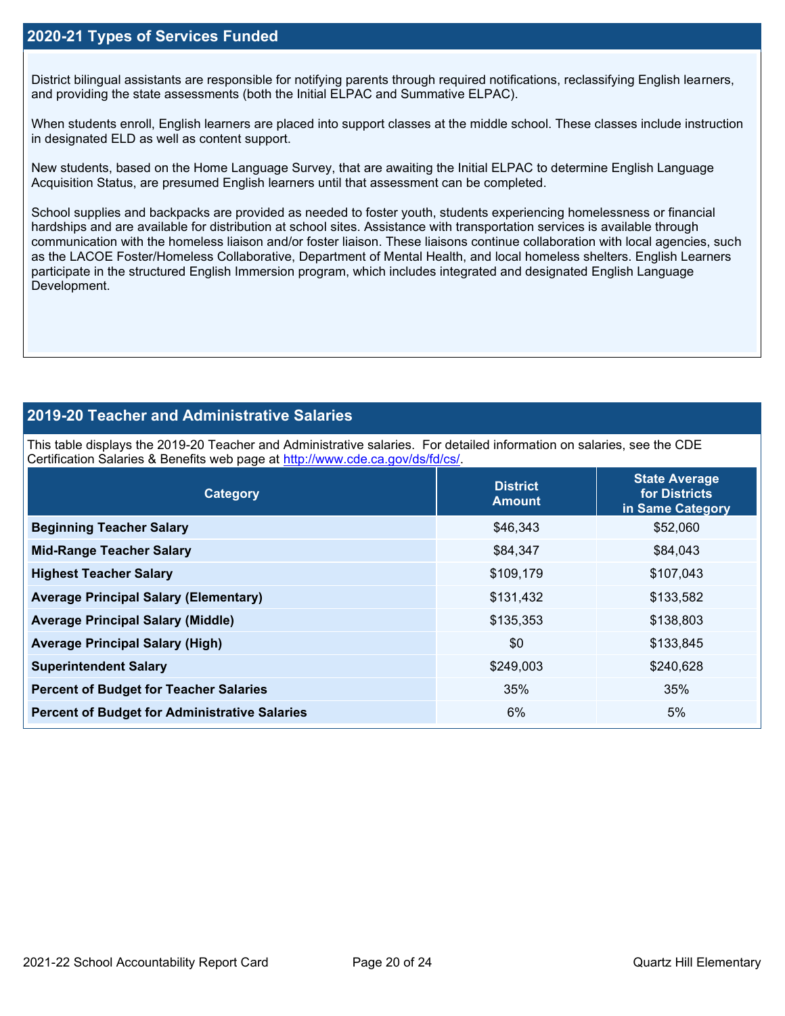## **2020-21 Types of Services Funded**

District bilingual assistants are responsible for notifying parents through required notifications, reclassifying English learners, and providing the state assessments (both the Initial ELPAC and Summative ELPAC).

When students enroll, English learners are placed into support classes at the middle school. These classes include instruction in designated ELD as well as content support.

New students, based on the Home Language Survey, that are awaiting the Initial ELPAC to determine English Language Acquisition Status, are presumed English learners until that assessment can be completed.

School supplies and backpacks are provided as needed to foster youth, students experiencing homelessness or financial hardships and are available for distribution at school sites. Assistance with transportation services is available through communication with the homeless liaison and/or foster liaison. These liaisons continue collaboration with local agencies, such as the LACOE Foster/Homeless Collaborative, Department of Mental Health, and local homeless shelters. English Learners participate in the structured English Immersion program, which includes integrated and designated English Language Development.

## **2019-20 Teacher and Administrative Salaries**

This table displays the 2019-20 Teacher and Administrative salaries. For detailed information on salaries, see the CDE Certification Salaries & Benefits web page at [http://www.cde.ca.gov/ds/fd/cs/.](http://www.cde.ca.gov/ds/fd/cs/)

| Category                                             | <b>District</b><br><b>Amount</b> | <b>State Average</b><br>for Districts<br>in Same Category |  |
|------------------------------------------------------|----------------------------------|-----------------------------------------------------------|--|
| <b>Beginning Teacher Salary</b>                      | \$46,343                         | \$52,060                                                  |  |
| <b>Mid-Range Teacher Salary</b>                      | \$84,347                         | \$84,043                                                  |  |
| <b>Highest Teacher Salary</b>                        | \$109,179                        | \$107,043                                                 |  |
| <b>Average Principal Salary (Elementary)</b>         | \$131,432                        | \$133,582                                                 |  |
| <b>Average Principal Salary (Middle)</b>             | \$135,353                        | \$138,803                                                 |  |
| <b>Average Principal Salary (High)</b>               | \$0                              | \$133,845                                                 |  |
| <b>Superintendent Salary</b>                         | \$249,003                        | \$240,628                                                 |  |
| <b>Percent of Budget for Teacher Salaries</b>        | 35%                              | 35%                                                       |  |
| <b>Percent of Budget for Administrative Salaries</b> | 6%                               | 5%                                                        |  |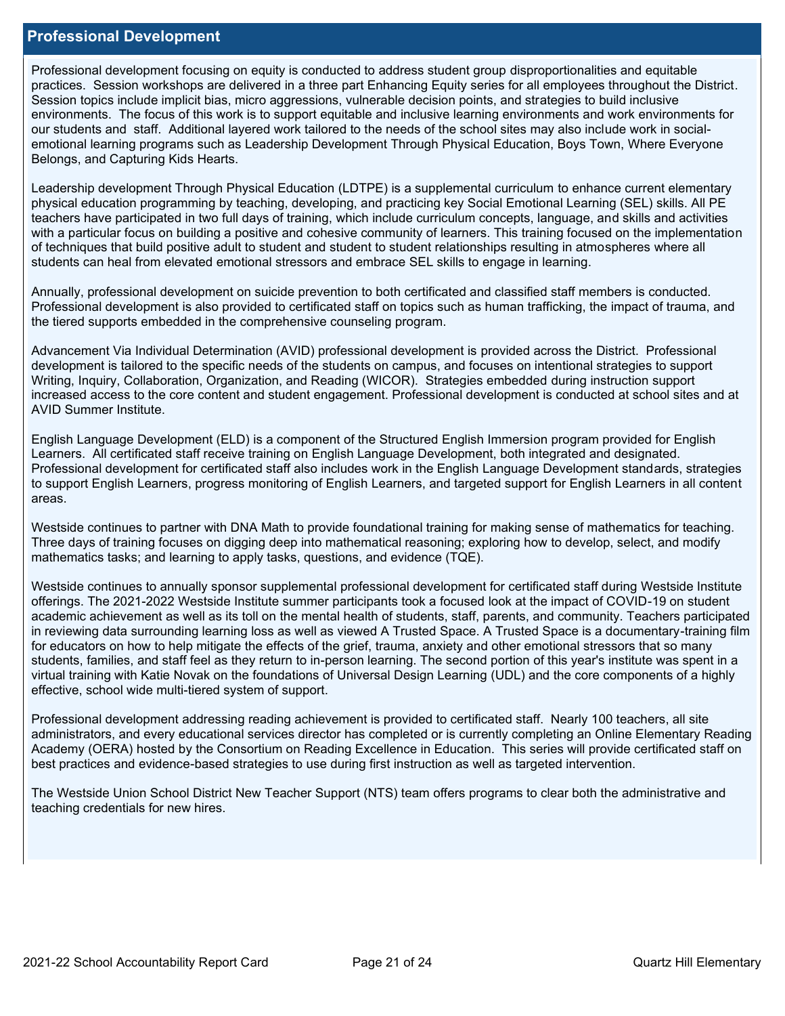### **Professional Development**

Professional development focusing on equity is conducted to address student group disproportionalities and equitable practices. Session workshops are delivered in a three part Enhancing Equity series for all employees throughout the District. Session topics include implicit bias, micro aggressions, vulnerable decision points, and strategies to build inclusive environments. The focus of this work is to support equitable and inclusive learning environments and work environments for our students and staff. Additional layered work tailored to the needs of the school sites may also include work in socialemotional learning programs such as Leadership Development Through Physical Education, Boys Town, Where Everyone Belongs, and Capturing Kids Hearts.

Leadership development Through Physical Education (LDTPE) is a supplemental curriculum to enhance current elementary physical education programming by teaching, developing, and practicing key Social Emotional Learning (SEL) skills. All PE teachers have participated in two full days of training, which include curriculum concepts, language, and skills and activities with a particular focus on building a positive and cohesive community of learners. This training focused on the implementation of techniques that build positive adult to student and student to student relationships resulting in atmospheres where all students can heal from elevated emotional stressors and embrace SEL skills to engage in learning.

Annually, professional development on suicide prevention to both certificated and classified staff members is conducted. Professional development is also provided to certificated staff on topics such as human trafficking, the impact of trauma, and the tiered supports embedded in the comprehensive counseling program.

Advancement Via Individual Determination (AVID) professional development is provided across the District. Professional development is tailored to the specific needs of the students on campus, and focuses on intentional strategies to support Writing, Inquiry, Collaboration, Organization, and Reading (WICOR). Strategies embedded during instruction support increased access to the core content and student engagement. Professional development is conducted at school sites and at AVID Summer Institute.

English Language Development (ELD) is a component of the Structured English Immersion program provided for English Learners. All certificated staff receive training on English Language Development, both integrated and designated. Professional development for certificated staff also includes work in the English Language Development standards, strategies to support English Learners, progress monitoring of English Learners, and targeted support for English Learners in all content areas.

Westside continues to partner with DNA Math to provide foundational training for making sense of mathematics for teaching. Three days of training focuses on digging deep into mathematical reasoning; exploring how to develop, select, and modify mathematics tasks; and learning to apply tasks, questions, and evidence (TQE).

Westside continues to annually sponsor supplemental professional development for certificated staff during Westside Institute offerings. The 2021-2022 Westside Institute summer participants took a focused look at the impact of COVID-19 on student academic achievement as well as its toll on the mental health of students, staff, parents, and community. Teachers participated in reviewing data surrounding learning loss as well as viewed A Trusted Space. A Trusted Space is a documentary-training film for educators on how to help mitigate the effects of the grief, trauma, anxiety and other emotional stressors that so many students, families, and staff feel as they return to in-person learning. The second portion of this year's institute was spent in a virtual training with Katie Novak on the foundations of Universal Design Learning (UDL) and the core components of a highly effective, school wide multi-tiered system of support.

Professional development addressing reading achievement is provided to certificated staff. Nearly 100 teachers, all site administrators, and every educational services director has completed or is currently completing an Online Elementary Reading Academy (OERA) hosted by the Consortium on Reading Excellence in Education. This series will provide certificated staff on best practices and evidence-based strategies to use during first instruction as well as targeted intervention.

The Westside Union School District New Teacher Support (NTS) team offers programs to clear both the administrative and teaching credentials for new hires.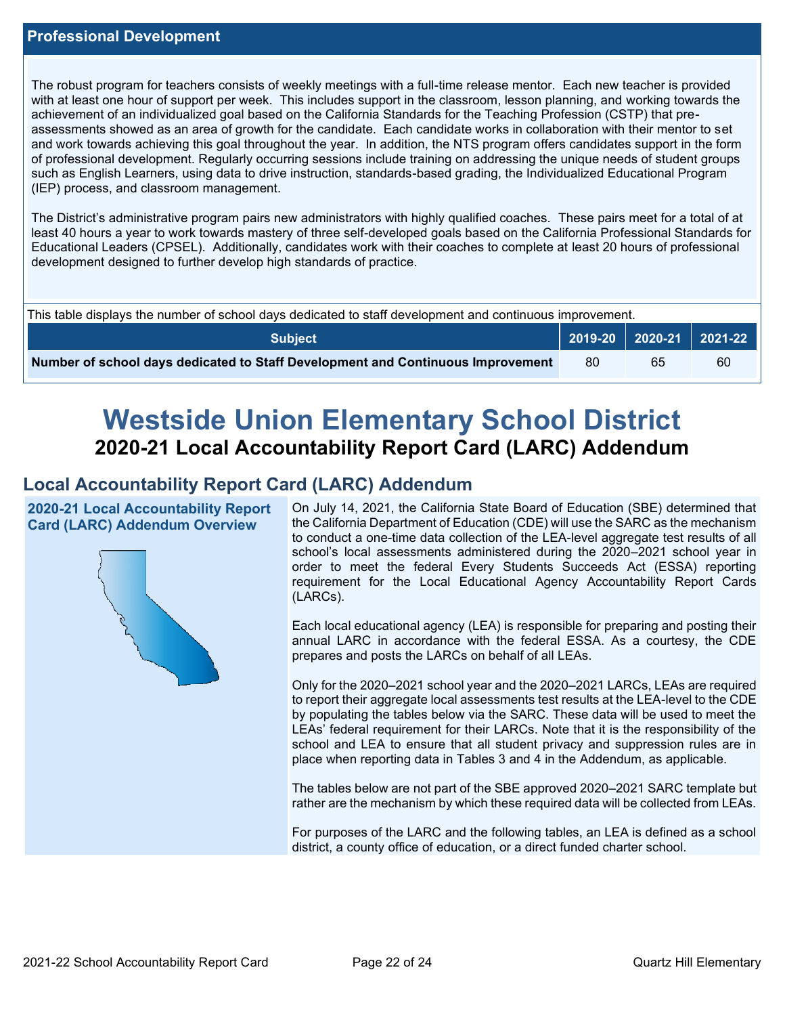The robust program for teachers consists of weekly meetings with a full-time release mentor. Each new teacher is provided with at least one hour of support per week. This includes support in the classroom, lesson planning, and working towards the achievement of an individualized goal based on the California Standards for the Teaching Profession (CSTP) that preassessments showed as an area of growth for the candidate. Each candidate works in collaboration with their mentor to set and work towards achieving this goal throughout the year. In addition, the NTS program offers candidates support in the form of professional development. Regularly occurring sessions include training on addressing the unique needs of student groups such as English Learners, using data to drive instruction, standards-based grading, the Individualized Educational Program (IEP) process, and classroom management.

The District's administrative program pairs new administrators with highly qualified coaches. These pairs meet for a total of at least 40 hours a year to work towards mastery of three self-developed goals based on the California Professional Standards for Educational Leaders (CPSEL). Additionally, candidates work with their coaches to complete at least 20 hours of professional development designed to further develop high standards of practice.

| This table displays the number of school days dedicated to staff development and continuous improvement. |  |                             |    |  |  |
|----------------------------------------------------------------------------------------------------------|--|-----------------------------|----|--|--|
| Subiect                                                                                                  |  | 2019-20   2020-21   2021-22 |    |  |  |
| Number of school days dedicated to Staff Development and Continuous Improvement                          |  | 65                          | 60 |  |  |

# **Westside Union Elementary School District 2020-21 Local Accountability Report Card (LARC) Addendum**

## **Local Accountability Report Card (LARC) Addendum**

**2020-21 Local Accountability Report Card (LARC) Addendum Overview**



On July 14, 2021, the California State Board of Education (SBE) determined that the California Department of Education (CDE) will use the SARC as the mechanism to conduct a one-time data collection of the LEA-level aggregate test results of all school's local assessments administered during the 2020–2021 school year in order to meet the federal Every Students Succeeds Act (ESSA) reporting requirement for the Local Educational Agency Accountability Report Cards (LARCs).

Each local educational agency (LEA) is responsible for preparing and posting their annual LARC in accordance with the federal ESSA. As a courtesy, the CDE prepares and posts the LARCs on behalf of all LEAs.

Only for the 2020–2021 school year and the 2020–2021 LARCs, LEAs are required to report their aggregate local assessments test results at the LEA-level to the CDE by populating the tables below via the SARC. These data will be used to meet the LEAs' federal requirement for their LARCs. Note that it is the responsibility of the school and LEA to ensure that all student privacy and suppression rules are in place when reporting data in Tables 3 and 4 in the Addendum, as applicable.

The tables below are not part of the SBE approved 2020–2021 SARC template but rather are the mechanism by which these required data will be collected from LEAs.

For purposes of the LARC and the following tables, an LEA is defined as a school district, a county office of education, or a direct funded charter school.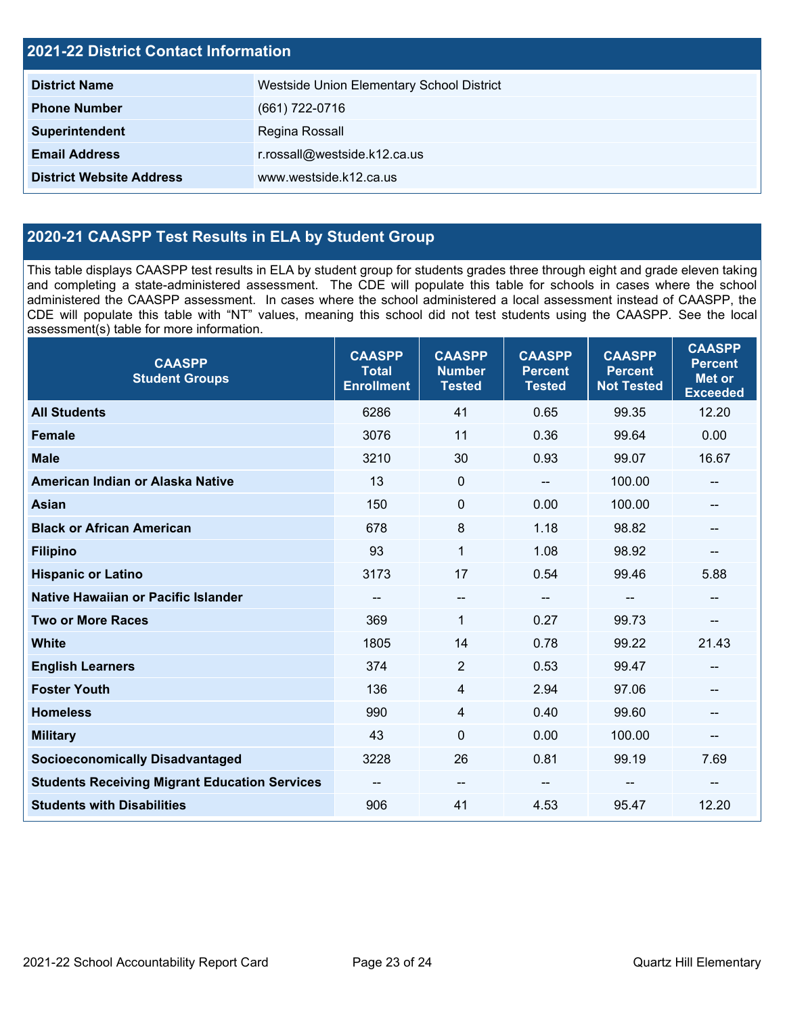| <b>2021-22 District Contact Information</b> |                                           |  |  |  |
|---------------------------------------------|-------------------------------------------|--|--|--|
| <b>District Name</b>                        | Westside Union Elementary School District |  |  |  |
| <b>Phone Number</b>                         | (661) 722-0716                            |  |  |  |
| Superintendent                              | Regina Rossall                            |  |  |  |
| <b>Email Address</b>                        | r.rossall@westside.k12.ca.us              |  |  |  |
| <b>District Website Address</b>             | www.westside.k12.ca.us                    |  |  |  |

## **2020-21 CAASPP Test Results in ELA by Student Group**

This table displays CAASPP test results in ELA by student group for students grades three through eight and grade eleven taking and completing a state-administered assessment. The CDE will populate this table for schools in cases where the school administered the CAASPP assessment. In cases where the school administered a local assessment instead of CAASPP, the CDE will populate this table with "NT" values, meaning this school did not test students using the CAASPP. See the local assessment(s) table for more information.

| <b>CAASPP</b><br><b>Student Groups</b>               | <b>CAASPP</b><br><b>Total</b><br><b>Enrollment</b> | <b>CAASPP</b><br><b>Number</b><br><b>Tested</b> | <b>CAASPP</b><br><b>Percent</b><br><b>Tested</b> | <b>CAASPP</b><br><b>Percent</b><br><b>Not Tested</b> | <b>CAASPP</b><br><b>Percent</b><br><b>Met or</b><br><b>Exceeded</b> |
|------------------------------------------------------|----------------------------------------------------|-------------------------------------------------|--------------------------------------------------|------------------------------------------------------|---------------------------------------------------------------------|
| <b>All Students</b>                                  | 6286                                               | 41                                              | 0.65                                             | 99.35                                                | 12.20                                                               |
| <b>Female</b>                                        | 3076                                               | 11                                              | 0.36                                             | 99.64                                                | 0.00                                                                |
| <b>Male</b>                                          | 3210                                               | 30                                              | 0.93                                             | 99.07                                                | 16.67                                                               |
| American Indian or Alaska Native                     | 13                                                 | $\mathbf 0$                                     | $\sim$ $\sim$                                    | 100.00                                               | --                                                                  |
| <b>Asian</b>                                         | 150                                                | $\pmb{0}$                                       | 0.00                                             | 100.00                                               |                                                                     |
| <b>Black or African American</b>                     | 678                                                | 8                                               | 1.18                                             | 98.82                                                | --                                                                  |
| <b>Filipino</b>                                      | 93                                                 | $\mathbf{1}$                                    | 1.08                                             | 98.92                                                | --                                                                  |
| <b>Hispanic or Latino</b>                            | 3173                                               | 17                                              | 0.54                                             | 99.46                                                | 5.88                                                                |
| <b>Native Hawaiian or Pacific Islander</b>           | --                                                 | $\overline{\phantom{a}}$                        | $\overline{\phantom{a}}$                         | $-$                                                  | $- -$                                                               |
| <b>Two or More Races</b>                             | 369                                                | $\mathbf{1}$                                    | 0.27                                             | 99.73                                                | --                                                                  |
| <b>White</b>                                         | 1805                                               | 14                                              | 0.78                                             | 99.22                                                | 21.43                                                               |
| <b>English Learners</b>                              | 374                                                | $\overline{2}$                                  | 0.53                                             | 99.47                                                | --                                                                  |
| <b>Foster Youth</b>                                  | 136                                                | 4                                               | 2.94                                             | 97.06                                                |                                                                     |
| <b>Homeless</b>                                      | 990                                                | $\overline{4}$                                  | 0.40                                             | 99.60                                                | --                                                                  |
| <b>Military</b>                                      | 43                                                 | $\mathbf 0$                                     | 0.00                                             | 100.00                                               | --                                                                  |
| <b>Socioeconomically Disadvantaged</b>               | 3228                                               | 26                                              | 0.81                                             | 99.19                                                | 7.69                                                                |
| <b>Students Receiving Migrant Education Services</b> | --                                                 | $\overline{\phantom{a}}$                        |                                                  | --                                                   | --                                                                  |
| <b>Students with Disabilities</b>                    | 906                                                | 41                                              | 4.53                                             | 95.47                                                | 12.20                                                               |